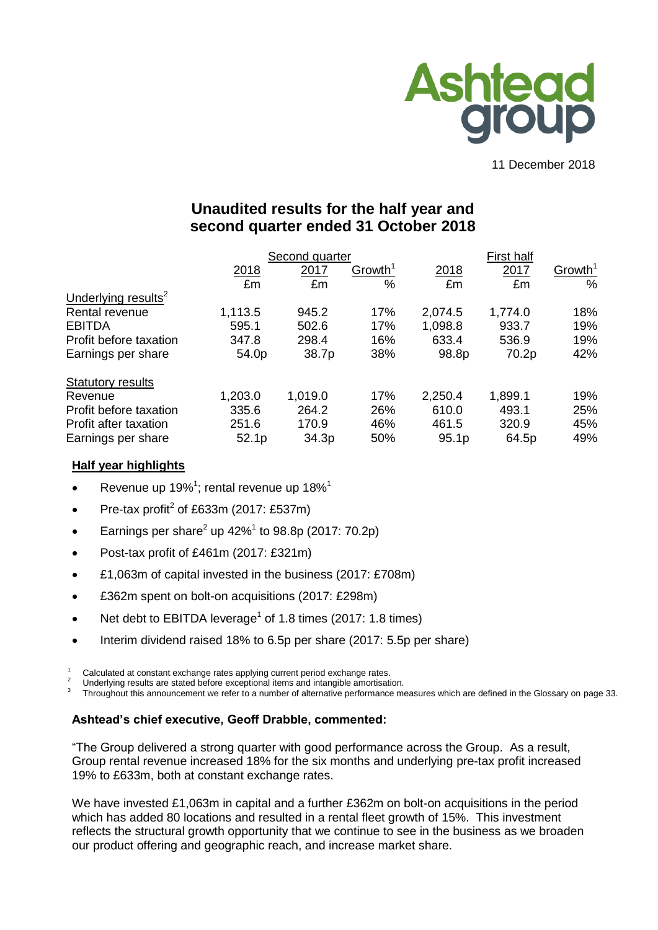

11 December 2018

# **Unaudited results for the half year and second quarter ended 31 October 2018**

|                                 |         | Second quarter |                     | First half |         |                     |  |
|---------------------------------|---------|----------------|---------------------|------------|---------|---------------------|--|
|                                 | 2018    | 2017           | Growth <sup>1</sup> | 2018       | 2017    | Growth <sup>1</sup> |  |
|                                 | £m      | £m             | $\%$                | £m         | £m      | $\%$                |  |
| Underlying results <sup>2</sup> |         |                |                     |            |         |                     |  |
| Rental revenue                  | 1,113.5 | 945.2          | 17%                 | 2,074.5    | 1,774.0 | 18%                 |  |
| <b>EBITDA</b>                   | 595.1   | 502.6          | 17%                 | 1,098.8    | 933.7   | 19%                 |  |
| Profit before taxation          | 347.8   | 298.4          | 16%                 | 633.4      | 536.9   | 19%                 |  |
| Earnings per share              | 54.0p   | 38.7p          | 38%                 | 98.8p      | 70.2p   | 42%                 |  |
| <b>Statutory results</b>        |         |                |                     |            |         |                     |  |
| Revenue                         | 1,203.0 | 1,019.0        | 17%                 | 2,250.4    | 1,899.1 | 19%                 |  |
| Profit before taxation          | 335.6   | 264.2          | 26%                 | 610.0      | 493.1   | 25%                 |  |
| Profit after taxation           | 251.6   | 170.9          | 46%                 | 461.5      | 320.9   | 45%                 |  |
| Earnings per share              | 52.1p   | 34.3p          | 50%                 | 95.1p      | 64.5p   | 49%                 |  |

## **Half year highlights**

- Revenue up 19%<sup>1</sup>; rental revenue up 18%<sup>1</sup>
- Pre-tax profit<sup>2</sup> of £633m (2017: £537m)
- Earnings per share<sup>2</sup> up 42%<sup>1</sup> to 98.8p (2017: 70.2p)
- Post-tax profit of £461m (2017: £321m)
- £1,063m of capital invested in the business (2017: £708m)
- £362m spent on bolt-on acquisitions (2017: £298m)
- Net debt to EBITDA leverage<sup>1</sup> of 1.8 times (2017: 1.8 times)
- Interim dividend raised 18% to 6.5p per share (2017: 5.5p per share)

<sup>1</sup> Calculated at constant exchange rates applying current period exchange rates.

Underlying results are stated before exceptional items and intangible amortisation.

3 Throughout this announcement we refer to a number of alternative performance measures which are defined in the Glossary on page 33.

### **Ashtead's chief executive, Geoff Drabble, commented:**

"The Group delivered a strong quarter with good performance across the Group. As a result, Group rental revenue increased 18% for the six months and underlying pre-tax profit increased 19% to £633m, both at constant exchange rates.

We have invested £1,063m in capital and a further £362m on bolt-on acquisitions in the period which has added 80 locations and resulted in a rental fleet growth of 15%. This investment reflects the structural growth opportunity that we continue to see in the business as we broaden our product offering and geographic reach, and increase market share.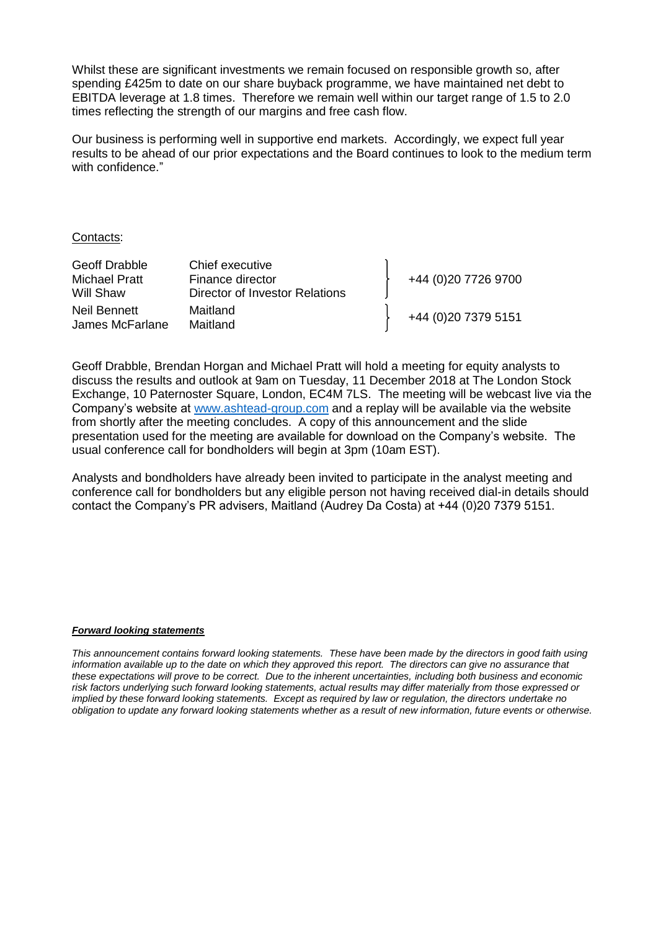Whilst these are significant investments we remain focused on responsible growth so, after spending £425m to date on our share buyback programme, we have maintained net debt to EBITDA leverage at 1.8 times. Therefore we remain well within our target range of 1.5 to 2.0 times reflecting the strength of our margins and free cash flow.

Our business is performing well in supportive end markets. Accordingly, we expect full year results to be ahead of our prior expectations and the Board continues to look to the medium term with confidence."

#### Contacts:

| Geoff Drabble   | Chief executive                |                      |
|-----------------|--------------------------------|----------------------|
| Michael Pratt   | Finance director               | +44 (0)20 7726 9700  |
| Will Shaw       | Director of Investor Relations |                      |
| Neil Bennett    | Maitland                       | +44 (0) 20 7379 5151 |
| James McFarlane | Maitland                       |                      |

Geoff Drabble, Brendan Horgan and Michael Pratt will hold a meeting for equity analysts to discuss the results and outlook at 9am on Tuesday, 11 December 2018 at The London Stock Exchange, 10 Paternoster Square, London, EC4M 7LS. The meeting will be webcast live via the Company's website at [www.ashtead-group.com](http://www.ashtead-group.com/) and a replay will be available via the website from shortly after the meeting concludes. A copy of this announcement and the slide presentation used for the meeting are available for download on the Company's website. The usual conference call for bondholders will begin at 3pm (10am EST).

Analysts and bondholders have already been invited to participate in the analyst meeting and conference call for bondholders but any eligible person not having received dial-in details should contact the Company's PR advisers, Maitland (Audrey Da Costa) at +44 (0)20 7379 5151.

#### *Forward looking statements*

*This announcement contains forward looking statements. These have been made by the directors in good faith using information available up to the date on which they approved this report. The directors can give no assurance that these expectations will prove to be correct. Due to the inherent uncertainties, including both business and economic risk factors underlying such forward looking statements, actual results may differ materially from those expressed or implied by these forward looking statements. Except as required by law or regulation, the directors undertake no obligation to update any forward looking statements whether as a result of new information, future events or otherwise.*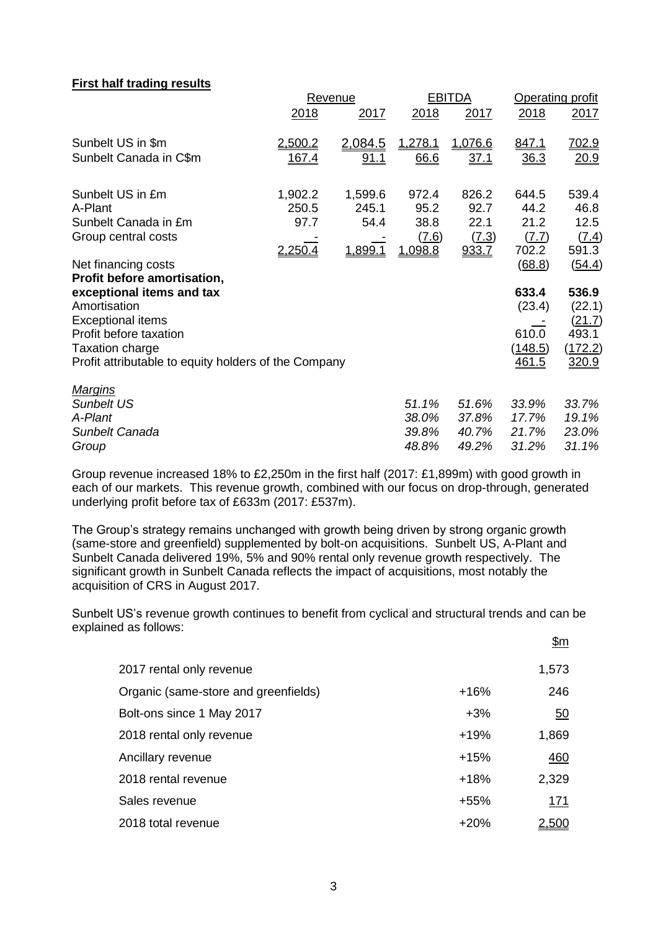### **First half trading results**

| Revenue |             |                                                      |             | Operating profit |             |
|---------|-------------|------------------------------------------------------|-------------|------------------|-------------|
| 2018    | 2017        | 2018                                                 | 2017        | 2018             | 2017        |
| 2,500.2 | 2,084.5     | 1,278.1                                              | 1,076.6     | 847.1            | 702.9       |
| 167.4   | <u>91.1</u> | 66.6                                                 | <u>37.1</u> | 36.3             | <u>20.9</u> |
| 1,902.2 | 1,599.6     | 972.4                                                | 826.2       | 644.5            | 539.4       |
| 250.5   | 245.1       |                                                      | 92.7        |                  | 46.8        |
| 97.7    | 54.4        | 38.8                                                 | 22.1        | 21.2             | 12.5        |
|         |             | (7.6)                                                | (7.3)       | (7.7)            | (7.4)       |
| 2,250.4 | 1,899.1     | 1,098.8                                              | 933.7       | 702.2            | 591.3       |
|         |             |                                                      |             | (68.8)           | (54.4)      |
|         |             |                                                      |             |                  |             |
|         |             |                                                      |             | 633.4            | 536.9       |
|         |             |                                                      |             | (23.4)           | (22.1)      |
|         |             |                                                      |             |                  | (21.7)      |
|         |             |                                                      |             | 610.0            | 493.1       |
|         |             |                                                      |             | <u>(148.5)</u>   | (172.2)     |
|         |             |                                                      |             | <u>461.5</u>     | 320.9       |
|         |             |                                                      |             |                  |             |
|         |             | 51.1%                                                | 51.6%       | 33.9%            | 33.7%       |
|         |             | 38.0%                                                | 37.8%       | 17.7%            | 19.1%       |
|         |             | 39.8%                                                | 40.7%       | 21.7%            | 23.0%       |
|         |             | 48.8%                                                | 49.2%       | 31.2%            | 31.1%       |
|         |             | Profit attributable to equity holders of the Company | 95.2        | <b>EBITDA</b>    | 44.2        |

Group revenue increased 18% to £2,250m in the first half (2017: £1,899m) with good growth in each of our markets. This revenue growth, combined with our focus on drop-through, generated underlying profit before tax of £633m (2017: £537m).

The Group's strategy remains unchanged with growth being driven by strong organic growth (same-store and greenfield) supplemented by bolt-on acquisitions. Sunbelt US, A-Plant and Sunbelt Canada delivered 19%, 5% and 90% rental only revenue growth respectively. The significant growth in Sunbelt Canada reflects the impact of acquisitions, most notably the acquisition of CRS in August 2017.

Sunbelt US's revenue growth continues to benefit from cyclical and structural trends and can be explained as follows: \$m

|                                      |        | <u>.</u>         |
|--------------------------------------|--------|------------------|
| 2017 rental only revenue             |        | 1,573            |
| Organic (same-store and greenfields) | $+16%$ | 246              |
| Bolt-ons since 1 May 2017            | $+3%$  | $\underline{50}$ |
| 2018 rental only revenue             | $+19%$ | 1,869            |
| Ancillary revenue                    | $+15%$ | <u>460</u>       |
| 2018 rental revenue                  | $+18%$ | 2,329            |
| Sales revenue                        | $+55%$ | 171              |
| 2018 total revenue                   | $+20%$ | <u>2,500</u>     |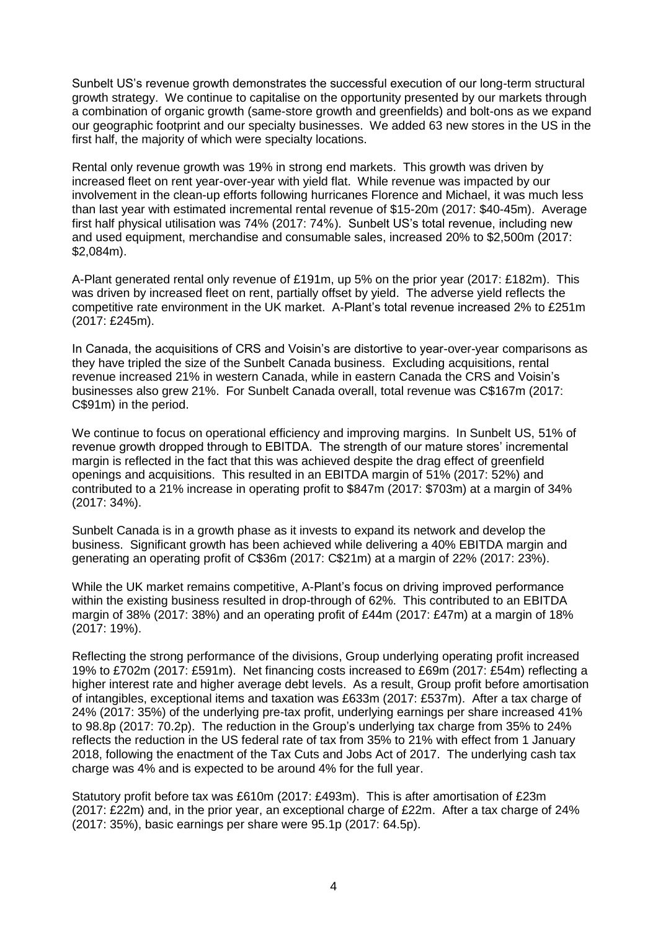Sunbelt US's revenue growth demonstrates the successful execution of our long-term structural growth strategy. We continue to capitalise on the opportunity presented by our markets through a combination of organic growth (same-store growth and greenfields) and bolt-ons as we expand our geographic footprint and our specialty businesses. We added 63 new stores in the US in the first half, the majority of which were specialty locations.

Rental only revenue growth was 19% in strong end markets. This growth was driven by increased fleet on rent year-over-year with yield flat. While revenue was impacted by our involvement in the clean-up efforts following hurricanes Florence and Michael, it was much less than last year with estimated incremental rental revenue of \$15-20m (2017: \$40-45m). Average first half physical utilisation was 74% (2017: 74%). Sunbelt US's total revenue, including new and used equipment, merchandise and consumable sales, increased 20% to \$2,500m (2017: \$2,084m).

A-Plant generated rental only revenue of £191m, up 5% on the prior year (2017: £182m). This was driven by increased fleet on rent, partially offset by yield. The adverse yield reflects the competitive rate environment in the UK market. A-Plant's total revenue increased 2% to £251m (2017: £245m).

In Canada, the acquisitions of CRS and Voisin's are distortive to year-over-year comparisons as they have tripled the size of the Sunbelt Canada business. Excluding acquisitions, rental revenue increased 21% in western Canada, while in eastern Canada the CRS and Voisin's businesses also grew 21%. For Sunbelt Canada overall, total revenue was C\$167m (2017: C\$91m) in the period.

We continue to focus on operational efficiency and improving margins. In Sunbelt US, 51% of revenue growth dropped through to EBITDA. The strength of our mature stores' incremental margin is reflected in the fact that this was achieved despite the drag effect of greenfield openings and acquisitions. This resulted in an EBITDA margin of 51% (2017: 52%) and contributed to a 21% increase in operating profit to \$847m (2017: \$703m) at a margin of 34% (2017: 34%).

Sunbelt Canada is in a growth phase as it invests to expand its network and develop the business. Significant growth has been achieved while delivering a 40% EBITDA margin and generating an operating profit of C\$36m (2017: C\$21m) at a margin of 22% (2017: 23%).

While the UK market remains competitive, A-Plant's focus on driving improved performance within the existing business resulted in drop-through of 62%. This contributed to an EBITDA margin of 38% (2017: 38%) and an operating profit of £44m (2017: £47m) at a margin of 18% (2017: 19%).

Reflecting the strong performance of the divisions, Group underlying operating profit increased 19% to £702m (2017: £591m). Net financing costs increased to £69m (2017: £54m) reflecting a higher interest rate and higher average debt levels. As a result, Group profit before amortisation of intangibles, exceptional items and taxation was £633m (2017: £537m). After a tax charge of 24% (2017: 35%) of the underlying pre-tax profit, underlying earnings per share increased 41% to 98.8p (2017: 70.2p). The reduction in the Group's underlying tax charge from 35% to 24% reflects the reduction in the US federal rate of tax from 35% to 21% with effect from 1 January 2018, following the enactment of the Tax Cuts and Jobs Act of 2017. The underlying cash tax charge was 4% and is expected to be around 4% for the full year.

Statutory profit before tax was £610m (2017: £493m). This is after amortisation of £23m (2017: £22m) and, in the prior year, an exceptional charge of £22m. After a tax charge of 24% (2017: 35%), basic earnings per share were 95.1p (2017: 64.5p).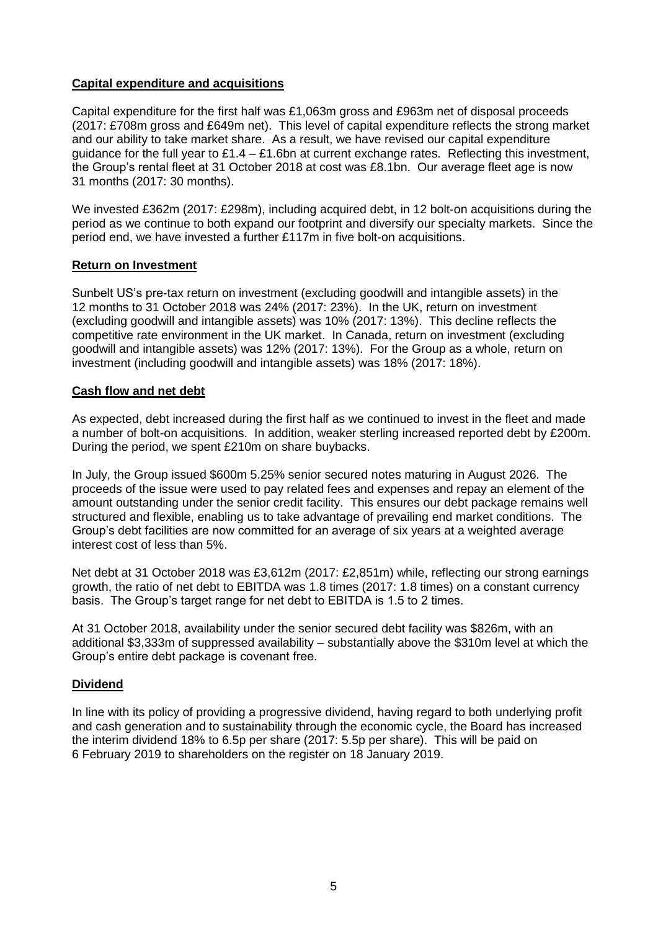## **Capital expenditure and acquisitions**

Capital expenditure for the first half was £1,063m gross and £963m net of disposal proceeds (2017: £708m gross and £649m net). This level of capital expenditure reflects the strong market and our ability to take market share. As a result, we have revised our capital expenditure guidance for the full year to  $£1.4 - £1.6$ bn at current exchange rates. Reflecting this investment, the Group's rental fleet at 31 October 2018 at cost was £8.1bn. Our average fleet age is now 31 months (2017: 30 months).

We invested £362m (2017: £298m), including acquired debt, in 12 bolt-on acquisitions during the period as we continue to both expand our footprint and diversify our specialty markets. Since the period end, we have invested a further £117m in five bolt-on acquisitions.

## **Return on Investment**

Sunbelt US's pre-tax return on investment (excluding goodwill and intangible assets) in the 12 months to 31 October 2018 was 24% (2017: 23%). In the UK, return on investment (excluding goodwill and intangible assets) was 10% (2017: 13%). This decline reflects the competitive rate environment in the UK market. In Canada, return on investment (excluding goodwill and intangible assets) was 12% (2017: 13%). For the Group as a whole, return on investment (including goodwill and intangible assets) was 18% (2017: 18%).

## **Cash flow and net debt**

As expected, debt increased during the first half as we continued to invest in the fleet and made a number of bolt-on acquisitions. In addition, weaker sterling increased reported debt by £200m. During the period, we spent £210m on share buybacks.

In July, the Group issued \$600m 5.25% senior secured notes maturing in August 2026. The proceeds of the issue were used to pay related fees and expenses and repay an element of the amount outstanding under the senior credit facility. This ensures our debt package remains well structured and flexible, enabling us to take advantage of prevailing end market conditions. The Group's debt facilities are now committed for an average of six years at a weighted average interest cost of less than 5%.

Net debt at 31 October 2018 was £3,612m (2017: £2,851m) while, reflecting our strong earnings growth, the ratio of net debt to EBITDA was 1.8 times (2017: 1.8 times) on a constant currency basis. The Group's target range for net debt to EBITDA is 1.5 to 2 times.

At 31 October 2018, availability under the senior secured debt facility was \$826m, with an additional \$3,333m of suppressed availability – substantially above the \$310m level at which the Group's entire debt package is covenant free.

# **Dividend**

In line with its policy of providing a progressive dividend, having regard to both underlying profit and cash generation and to sustainability through the economic cycle, the Board has increased the interim dividend 18% to 6.5p per share (2017: 5.5p per share). This will be paid on 6 February 2019 to shareholders on the register on 18 January 2019.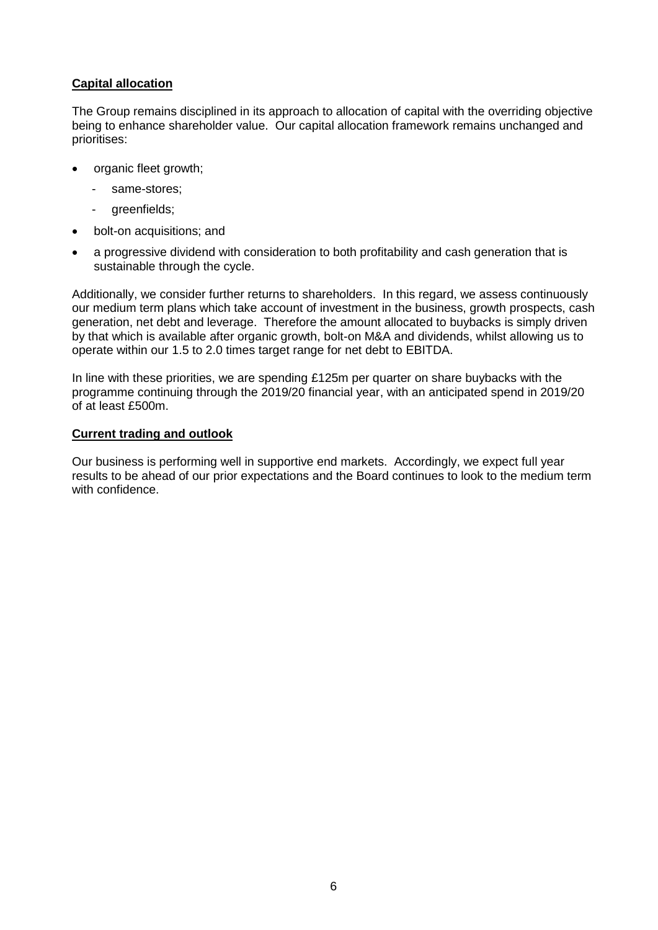## **Capital allocation**

The Group remains disciplined in its approach to allocation of capital with the overriding objective being to enhance shareholder value. Our capital allocation framework remains unchanged and prioritises:

- organic fleet growth;
	- same-stores:
	- greenfields;
- bolt-on acquisitions; and
- a progressive dividend with consideration to both profitability and cash generation that is sustainable through the cycle.

Additionally, we consider further returns to shareholders. In this regard, we assess continuously our medium term plans which take account of investment in the business, growth prospects, cash generation, net debt and leverage. Therefore the amount allocated to buybacks is simply driven by that which is available after organic growth, bolt-on M&A and dividends, whilst allowing us to operate within our 1.5 to 2.0 times target range for net debt to EBITDA.

In line with these priorities, we are spending £125m per quarter on share buybacks with the programme continuing through the 2019/20 financial year, with an anticipated spend in 2019/20 of at least £500m.

#### **Current trading and outlook**

Our business is performing well in supportive end markets. Accordingly, we expect full year results to be ahead of our prior expectations and the Board continues to look to the medium term with confidence.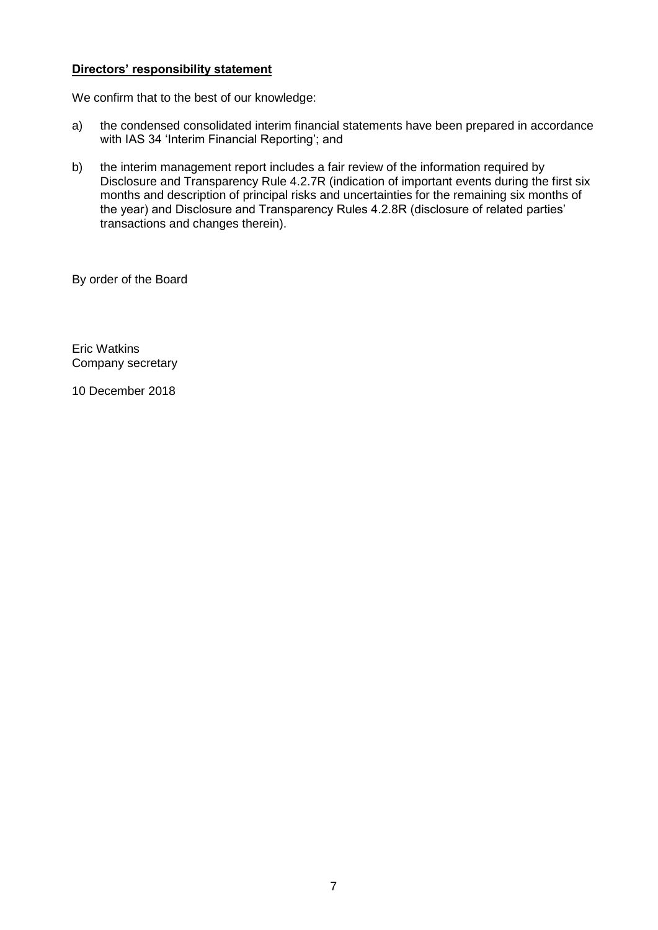## **Directors' responsibility statement**

We confirm that to the best of our knowledge:

- a) the condensed consolidated interim financial statements have been prepared in accordance with IAS 34 'Interim Financial Reporting'; and
- b) the interim management report includes a fair review of the information required by Disclosure and Transparency Rule 4.2.7R (indication of important events during the first six months and description of principal risks and uncertainties for the remaining six months of the year) and Disclosure and Transparency Rules 4.2.8R (disclosure of related parties' transactions and changes therein).

By order of the Board

Eric Watkins Company secretary

10 December 2018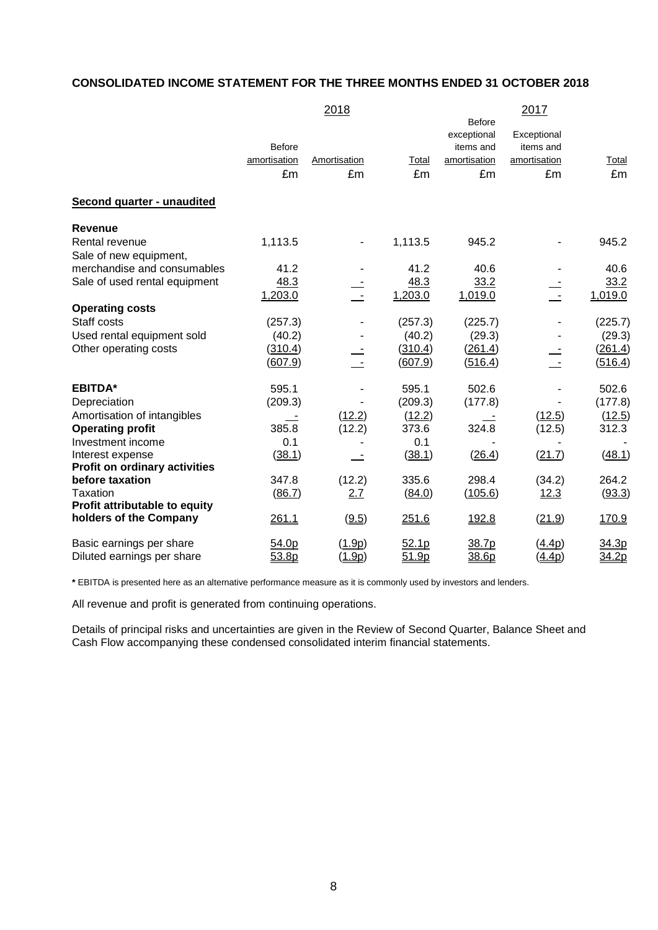# **CONSOLIDATED INCOME STATEMENT FOR THE THREE MONTHS ENDED 31 OCTOBER 2018**

|                                      |               | 2018           |         |                              | 2017                 |              |
|--------------------------------------|---------------|----------------|---------|------------------------------|----------------------|--------------|
|                                      |               |                |         | <b>Before</b><br>exceptional | Exceptional          |              |
|                                      | <b>Before</b> |                |         | items and                    | items and            |              |
|                                      | amortisation  | Amortisation   | Total   | amortisation                 | amortisation         | <b>Total</b> |
|                                      | £m            | £m             | £m      | £m                           | £m                   | £m           |
|                                      |               |                |         |                              |                      |              |
| Second quarter - unaudited           |               |                |         |                              |                      |              |
| <b>Revenue</b>                       |               |                |         |                              |                      |              |
| Rental revenue                       | 1,113.5       |                | 1,113.5 | 945.2                        |                      | 945.2        |
| Sale of new equipment,               |               |                |         |                              |                      |              |
| merchandise and consumables          | 41.2          |                | 41.2    | 40.6                         |                      | 40.6         |
| Sale of used rental equipment        | 48.3          |                | 48.3    | 33.2                         |                      | 33.2         |
|                                      | 1,203.0       | $\mathbb{Z}^2$ | 1,203.0 | 1,019.0                      | $\mathbf{r}$         | 1,019.0      |
| <b>Operating costs</b>               |               |                |         |                              |                      |              |
| Staff costs                          | (257.3)       |                | (257.3) | (225.7)                      |                      | (225.7)      |
| Used rental equipment sold           | (40.2)        |                | (40.2)  | (29.3)                       |                      | (29.3)       |
| Other operating costs                | (310.4)       |                | (310.4) | (261.4)                      |                      | (261.4)      |
|                                      | (607.9)       |                | (607.9) | (516.4)                      |                      | (516.4)      |
|                                      |               |                |         |                              |                      |              |
| <b>EBITDA*</b>                       | 595.1         |                | 595.1   | 502.6                        |                      | 502.6        |
| Depreciation                         | (209.3)       |                | (209.3) | (177.8)                      |                      | (177.8)      |
| Amortisation of intangibles          |               | (12.2)         | (12.2)  |                              | (12.5)               | (12.5)       |
| <b>Operating profit</b>              | 385.8         | (12.2)         | 373.6   | 324.8                        | (12.5)               | 312.3        |
| Investment income                    | 0.1           |                | 0.1     |                              |                      |              |
| Interest expense                     | (38.1)        |                | (38.1)  | (26.4)                       | (21.7)               | (48.1)       |
| <b>Profit on ordinary activities</b> |               |                |         |                              |                      |              |
| before taxation                      | 347.8         | (12.2)         | 335.6   | 298.4                        | (34.2)               | 264.2        |
| <b>Taxation</b>                      | (86.7)        | 2.7            | (84.0)  | (105.6)                      | 12.3                 | (93.3)       |
| Profit attributable to equity        |               |                |         |                              |                      |              |
| holders of the Company               | 261.1         | (9.5)          | 251.6   | 192.8                        | (21.9)               | 170.9        |
| Basic earnings per share             | 54.0p         | (1.9p)         | 52.1p   | 38.7p                        | (4.4p)               | 34.3p        |
| Diluted earnings per share           | 53.8p         | <u>(1.9p)</u>  | 51.9p   | 38.6p                        | $(\underline{4.4p})$ | 34.2p        |

**\*** EBITDA is presented here as an alternative performance measure as it is commonly used by investors and lenders.

All revenue and profit is generated from continuing operations.

Details of principal risks and uncertainties are given in the Review of Second Quarter, Balance Sheet and Cash Flow accompanying these condensed consolidated interim financial statements.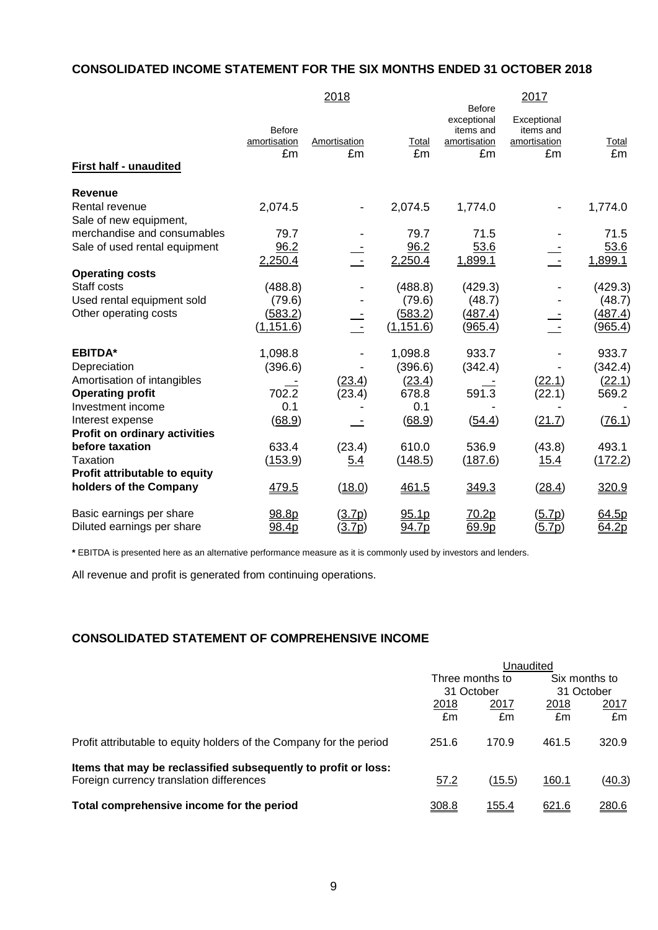# **CONSOLIDATED INCOME STATEMENT FOR THE SIX MONTHS ENDED 31 OCTOBER 2018**

|                                                  |                              | 2018               |                    | 2017                                                     |                                                |                    |  |
|--------------------------------------------------|------------------------------|--------------------|--------------------|----------------------------------------------------------|------------------------------------------------|--------------------|--|
| <b>First half - unaudited</b>                    | Before<br>amortisation<br>£m | Amortisation<br>£m | <b>Total</b><br>£m | Before<br>exceptional<br>items and<br>amortisation<br>£m | Exceptional<br>items and<br>amortisation<br>£m | <b>Total</b><br>£m |  |
| Revenue                                          |                              |                    |                    |                                                          |                                                |                    |  |
| Rental revenue                                   | 2,074.5                      |                    | 2,074.5            | 1,774.0                                                  |                                                | 1,774.0            |  |
| Sale of new equipment,                           |                              |                    |                    |                                                          |                                                |                    |  |
| merchandise and consumables                      | 79.7                         |                    | 79.7               | 71.5                                                     |                                                | 71.5               |  |
| Sale of used rental equipment                    | 96.2                         |                    | 96.2               | 53.6                                                     |                                                | 53.6               |  |
|                                                  | 2,250.4                      |                    | 2,250.4            | 1,899.1                                                  |                                                | 1,899.1            |  |
| <b>Operating costs</b><br>Staff costs            | (488.8)                      |                    | (488.8)            | (429.3)                                                  |                                                | (429.3)            |  |
| Used rental equipment sold                       | (79.6)                       |                    | (79.6)             | (48.7)                                                   |                                                | (48.7)             |  |
| Other operating costs                            | (583.2)                      |                    | (583.2)            | (487.4)                                                  |                                                | (487.4)            |  |
|                                                  | (1, 151.6)                   |                    | (1, 151.6)         | (965.4)                                                  |                                                | <u>(965.4)</u>     |  |
| <b>EBITDA*</b>                                   | 1,098.8                      |                    | 1,098.8            | 933.7                                                    |                                                | 933.7              |  |
| Depreciation                                     | (396.6)                      |                    | (396.6)            | (342.4)                                                  |                                                | (342.4)            |  |
| Amortisation of intangibles                      |                              | (23.4)             | (23.4)             |                                                          | (22.1)                                         | (22.1)             |  |
| <b>Operating profit</b>                          | 702.2                        | (23.4)             | 678.8              | 591.3                                                    | (22.1)                                         | 569.2              |  |
| Investment income                                | 0.1                          |                    | 0.1                |                                                          |                                                |                    |  |
| Interest expense                                 | (68.9)                       |                    | (68.9)             | (54.4)                                                   | (21.7)                                         | (76.1)             |  |
| Profit on ordinary activities<br>before taxation | 633.4                        | (23.4)             | 610.0              | 536.9                                                    | (43.8)                                         | 493.1              |  |
| Taxation                                         | <u>(153.9)</u>               | <u>5.4</u>         | (148.5)            | (187.6)                                                  | <u>15.4</u>                                    | (172.2)            |  |
| Profit attributable to equity                    |                              |                    |                    |                                                          |                                                |                    |  |
| holders of the Company                           | 479.5                        | (18.0)             | 461.5              | 349.3                                                    | (28.4)                                         | 320.9              |  |
| Basic earnings per share                         | 98.8p                        | (3.7p)             | 95.1p              | 70.2p                                                    | (5.7p)                                         | 64.5p              |  |
| Diluted earnings per share                       | 98.4p                        | (3.7p)             | <u>94.7p</u>       | 69.9p                                                    | (5.7p)                                         | 64.2p              |  |

**\*** EBITDA is presented here as an alternative performance measure as it is commonly used by investors and lenders.

All revenue and profit is generated from continuing operations.

# **CONSOLIDATED STATEMENT OF COMPREHENSIVE INCOME**

|                                                                     | Unaudited       |              |               |        |
|---------------------------------------------------------------------|-----------------|--------------|---------------|--------|
|                                                                     | Three months to |              | Six months to |        |
|                                                                     | 31 October      |              | 31 October    |        |
|                                                                     | 2018            | 2017         | 2018          | 2017   |
|                                                                     | £m              | £m           | £m            | £m     |
| Profit attributable to equity holders of the Company for the period | 251.6           | 170.9        | 461.5         | 320.9  |
| Items that may be reclassified subsequently to profit or loss:      |                 |              |               |        |
| Foreign currency translation differences                            | 57.2            | (15.5)       | 160.1         | (40.3) |
| Total comprehensive income for the period                           | 308.8           | <u>155.4</u> | 621.6         | 280.6  |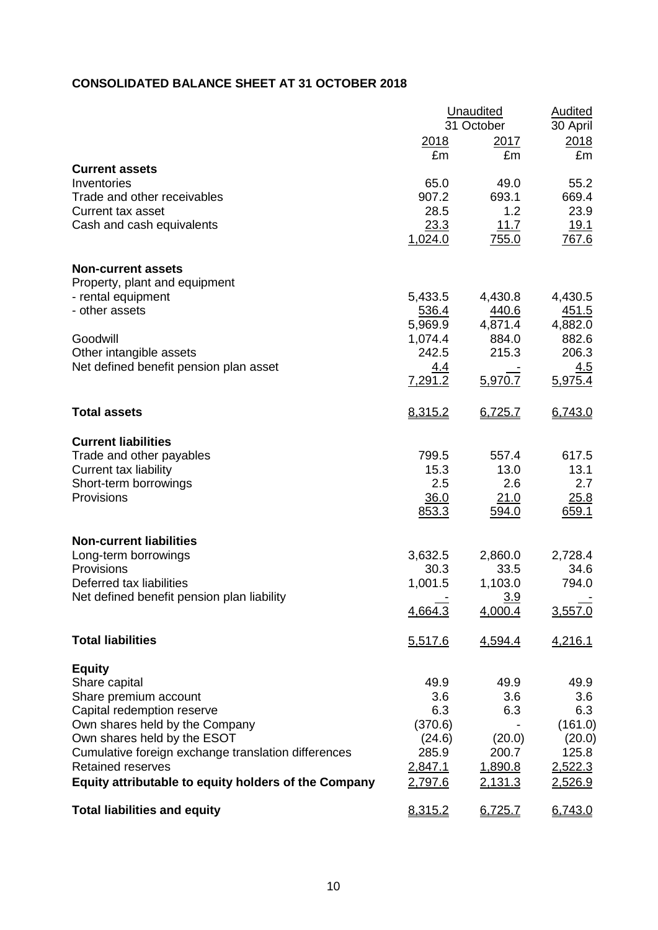# **CONSOLIDATED BALANCE SHEET AT 31 OCTOBER 2018**

|                                                                        | Unaudited<br>31 October | <b>Audited</b><br>30 April |                       |
|------------------------------------------------------------------------|-------------------------|----------------------------|-----------------------|
|                                                                        | 2018<br>£m              | 2017<br>£m                 | 2018<br>£m            |
| <b>Current assets</b><br>Inventories                                   | 65.0                    | 49.0                       | 55.2                  |
| Trade and other receivables                                            | 907.2                   | 693.1                      | 669.4                 |
| Current tax asset                                                      | 28.5                    | 1.2                        | 23.9                  |
| Cash and cash equivalents                                              | 23.3                    | 11.7                       | <u>19.1</u>           |
|                                                                        | 1,024.0                 | 755.0                      | <u>767.6</u>          |
| <b>Non-current assets</b>                                              |                         |                            |                       |
| Property, plant and equipment                                          |                         |                            |                       |
| - rental equipment<br>- other assets                                   | 5,433.5<br>536.4        | 4,430.8<br>440.6           | 4,430.5<br>451.5      |
|                                                                        | 5,969.9                 | 4,871.4                    | 4,882.0               |
| Goodwill                                                               | 1,074.4                 | 884.0                      | 882.6                 |
| Other intangible assets                                                | 242.5                   | 215.3                      | 206.3                 |
| Net defined benefit pension plan asset                                 | <u>4.4</u><br>7,291.2   | 5,970.7                    | <u>4.5</u><br>5,975.4 |
|                                                                        |                         |                            |                       |
| <b>Total assets</b>                                                    | 8,315.2                 | 6,725.7                    | 6,743.0               |
| <b>Current liabilities</b>                                             |                         |                            |                       |
| Trade and other payables                                               | 799.5                   | 557.4                      | 617.5                 |
| Current tax liability                                                  | 15.3<br>2.5             | 13.0<br>2.6                | 13.1<br>2.7           |
| Short-term borrowings<br>Provisions                                    | 36.0                    | 21.0                       | 25.8                  |
|                                                                        | 853.3                   | 594.0                      | 659.1                 |
| <b>Non-current liabilities</b>                                         |                         |                            |                       |
| Long-term borrowings                                                   | 3,632.5                 | 2,860.0                    | 2,728.4               |
| Provisions                                                             | 30.3                    | 33.5                       | 34.6                  |
| Deferred tax liabilities<br>Net defined benefit pension plan liability | 1,001.5                 | 1,103.0<br>3.9             | 794.0                 |
|                                                                        | 4,664.3                 | 4,000.4                    | 3,557.0               |
| <b>Total liabilities</b>                                               | 5,517.6                 | 4,594.4                    | 4,216.1               |
| <b>Equity</b>                                                          |                         |                            |                       |
| Share capital                                                          | 49.9                    | 49.9                       | 49.9                  |
| Share premium account                                                  | 3.6                     | 3.6                        | 3.6                   |
| Capital redemption reserve<br>Own shares held by the Company           | 6.3<br>(370.6)          | 6.3                        | 6.3<br>(161.0)        |
| Own shares held by the ESOT                                            | (24.6)                  | (20.0)                     | (20.0)                |
| Cumulative foreign exchange translation differences                    | 285.9                   | 200.7                      | 125.8                 |
| <b>Retained reserves</b>                                               | 2,847.1                 | 1,890.8                    | 2,522.3               |
| Equity attributable to equity holders of the Company                   | 2,797.6                 | 2,131.3                    | 2,526.9               |
| <b>Total liabilities and equity</b>                                    | 8,315.2                 | 6,725.7                    | 6,743.0               |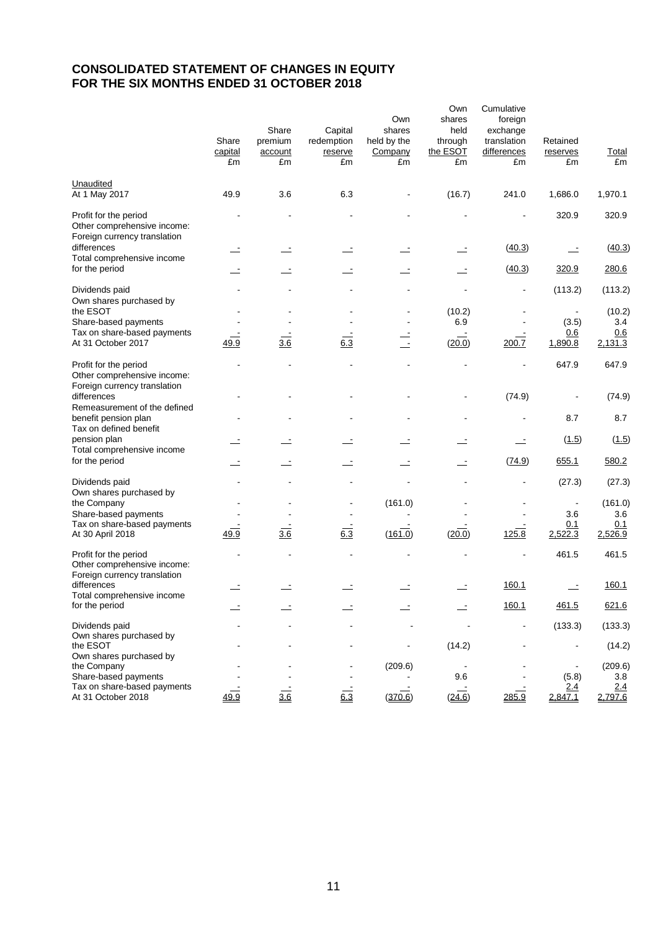# **CONSOLIDATED STATEMENT OF CHANGES IN EQUITY FOR THE SIX MONTHS ENDED 31 OCTOBER 2018**

|                                                                                      | Share<br>capital<br>£m | Share<br>premium<br>account<br>£m | Capital<br>redemption<br>reserve<br>£m | Own<br>shares<br>held by the<br>Company<br>£m | Own<br>shares<br>held<br>through<br>the ESOT<br>£m | Cumulative<br>foreign<br>exchange<br>translation<br>differences<br>£m | Retained<br>reserves<br>£m | <b>Total</b><br>£m |
|--------------------------------------------------------------------------------------|------------------------|-----------------------------------|----------------------------------------|-----------------------------------------------|----------------------------------------------------|-----------------------------------------------------------------------|----------------------------|--------------------|
| Unaudited<br>At 1 May 2017                                                           | 49.9                   | 3.6                               | 6.3                                    |                                               | (16.7)                                             | 241.0                                                                 | 1,686.0                    | 1,970.1            |
| Profit for the period<br>Other comprehensive income:<br>Foreign currency translation |                        |                                   |                                        |                                               |                                                    |                                                                       | 320.9                      | 320.9              |
| differences<br>Total comprehensive income                                            |                        |                                   |                                        |                                               |                                                    | (40.3)                                                                | $\mathbf{r}$               | (40.3)             |
| for the period                                                                       |                        |                                   | $\overline{\phantom{a}}$               |                                               | $\equiv$                                           | (40.3)                                                                | 320.9                      | 280.6              |
| Dividends paid<br>Own shares purchased by                                            |                        |                                   |                                        |                                               |                                                    |                                                                       | (113.2)                    | (113.2)            |
| the ESOT<br>Share-based payments                                                     |                        |                                   |                                        |                                               | (10.2)<br>6.9                                      |                                                                       | (3.5)                      | (10.2)<br>3.4      |
| Tax on share-based payments<br>At 31 October 2017                                    | 49.9                   | 3.6                               | 6.3                                    | $\overline{\phantom{a}}$                      | (20.0)                                             | 200.7                                                                 | 0.6<br>1,890.8             | 0.6<br>2,131.3     |
| Profit for the period<br>Other comprehensive income:                                 |                        |                                   |                                        |                                               |                                                    |                                                                       | 647.9                      | 647.9              |
| Foreign currency translation<br>differences<br>Remeasurement of the defined          |                        |                                   |                                        |                                               |                                                    | (74.9)                                                                |                            | (74.9)             |
| benefit pension plan<br>Tax on defined benefit                                       |                        |                                   |                                        |                                               |                                                    |                                                                       | 8.7                        | 8.7                |
| pension plan<br>Total comprehensive income                                           |                        |                                   |                                        |                                               |                                                    |                                                                       | (1.5)                      | (1.5)              |
| for the period                                                                       | <u>-</u>               |                                   | $\equiv$                               | $\equiv$                                      | $\equiv$                                           | (74.9)                                                                | 655.1                      | 580.2              |
| Dividends paid<br>Own shares purchased by                                            |                        |                                   |                                        |                                               |                                                    |                                                                       | (27.3)                     | (27.3)             |
| the Company                                                                          |                        |                                   |                                        | (161.0)                                       |                                                    |                                                                       |                            | (161.0)            |
| Share-based payments<br>Tax on share-based payments                                  |                        |                                   |                                        |                                               |                                                    |                                                                       | 3.6<br>0.1                 | 3.6<br>0.1         |
| At 30 April 2018                                                                     | 49.9                   | 3.6                               | 6.3                                    | (161.0)                                       | (20.0)                                             | 125.8                                                                 | 2,522.3                    | 2,526.9            |
| Profit for the period<br>Other comprehensive income:<br>Foreign currency translation |                        |                                   |                                        |                                               |                                                    |                                                                       | 461.5                      | 461.5              |
| differences<br>Total comprehensive income                                            |                        |                                   |                                        |                                               |                                                    | 160.1                                                                 |                            | 160.1              |
| for the period                                                                       |                        |                                   |                                        |                                               |                                                    | 160.1                                                                 | 461.5                      | 621.6              |
| Dividends paid                                                                       |                        |                                   |                                        |                                               |                                                    |                                                                       | (133.3)                    | (133.3)            |
| Own shares purchased by<br>the ESOT<br>Own shares purchased by                       |                        |                                   |                                        |                                               | (14.2)                                             |                                                                       |                            | (14.2)             |
| the Company                                                                          |                        |                                   |                                        | (209.6)                                       |                                                    |                                                                       |                            | (209.6)            |
| Share-based payments                                                                 |                        |                                   |                                        |                                               | 9.6                                                |                                                                       | (5.8)                      | 3.8                |
| Tax on share-based payments<br>At 31 October 2018                                    | 49.9                   | 3.6                               | 6.3                                    | (370.6)                                       | (24.6)                                             | 285.9                                                                 | 2.4<br>2,847.1             | 2.4<br>2,797.6     |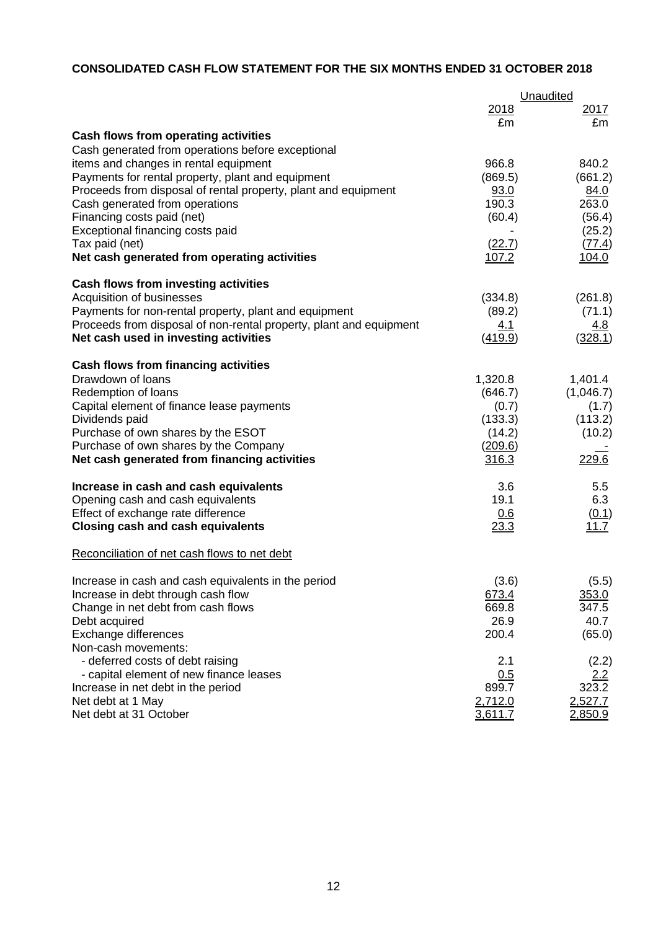# **CONSOLIDATED CASH FLOW STATEMENT FOR THE SIX MONTHS ENDED 31 OCTOBER 2018**

|                                                                    |              | Unaudited   |
|--------------------------------------------------------------------|--------------|-------------|
|                                                                    | 2018         | <u>2017</u> |
|                                                                    | £m           | £m          |
| Cash flows from operating activities                               |              |             |
| Cash generated from operations before exceptional                  |              |             |
| items and changes in rental equipment                              | 966.8        | 840.2       |
| Payments for rental property, plant and equipment                  | (869.5)      | (661.2)     |
| Proceeds from disposal of rental property, plant and equipment     | 93.0         | 84.0        |
| Cash generated from operations                                     | 190.3        | 263.0       |
| Financing costs paid (net)                                         | (60.4)       | (56.4)      |
| Exceptional financing costs paid                                   |              | (25.2)      |
| Tax paid (net)                                                     | (22.7)       | (77.4)      |
| Net cash generated from operating activities                       | <u>107.2</u> | 104.0       |
| Cash flows from investing activities                               |              |             |
| Acquisition of businesses                                          | (334.8)      | (261.8)     |
| Payments for non-rental property, plant and equipment              | (89.2)       | (71.1)      |
| Proceeds from disposal of non-rental property, plant and equipment | <u>4.1</u>   | <u>4.8</u>  |
| Net cash used in investing activities                              | (419.9)      | (328.1)     |
| <b>Cash flows from financing activities</b>                        |              |             |
| Drawdown of loans                                                  | 1,320.8      | 1,401.4     |
| Redemption of loans                                                | (646.7)      | (1,046.7)   |
| Capital element of finance lease payments                          | (0.7)        | (1.7)       |
| Dividends paid                                                     | (133.3)      | (113.2)     |
| Purchase of own shares by the ESOT                                 | (14.2)       | (10.2)      |
| Purchase of own shares by the Company                              | (209.6)      |             |
| Net cash generated from financing activities                       | 316.3        | 229.6       |
| Increase in cash and cash equivalents                              | 3.6          | 5.5         |
| Opening cash and cash equivalents                                  | 19.1         | 6.3         |
| Effect of exchange rate difference                                 | 0.6          | (0.1)       |
| <b>Closing cash and cash equivalents</b>                           | 23.3         | 11.7        |
| Reconciliation of net cash flows to net debt                       |              |             |
| Increase in cash and cash equivalents in the period                | (3.6)        | (5.5)       |
| Increase in debt through cash flow                                 | 673.4        | 353.0       |
| Change in net debt from cash flows                                 | 669.8        | 347.5       |
| Debt acquired                                                      | 26.9         | 40.7        |
| Exchange differences                                               | 200.4        | (65.0)      |
| Non-cash movements:                                                |              |             |
| - deferred costs of debt raising                                   | 2.1          | (2.2)       |
| - capital element of new finance leases                            | 0.5          | <u>2.2</u>  |
| Increase in net debt in the period                                 | 899.7        | 323.2       |
| Net debt at 1 May                                                  | 2,712.0      | 2,527.7     |
| Net debt at 31 October                                             | 3,611.7      | 2,850.9     |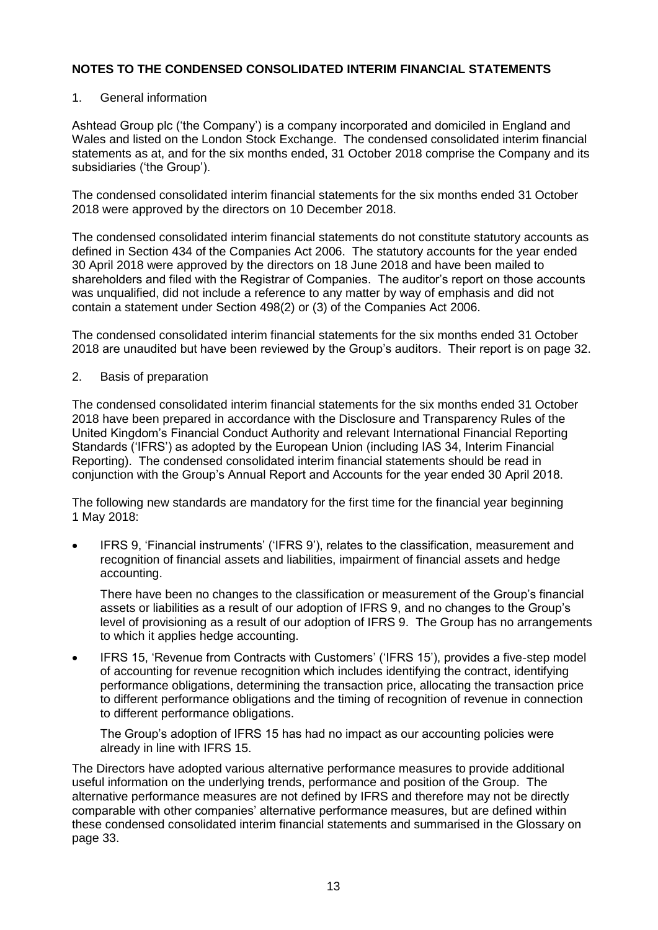### 1. General information

Ashtead Group plc ('the Company') is a company incorporated and domiciled in England and Wales and listed on the London Stock Exchange. The condensed consolidated interim financial statements as at, and for the six months ended, 31 October 2018 comprise the Company and its subsidiaries ('the Group').

The condensed consolidated interim financial statements for the six months ended 31 October 2018 were approved by the directors on 10 December 2018.

The condensed consolidated interim financial statements do not constitute statutory accounts as defined in Section 434 of the Companies Act 2006. The statutory accounts for the year ended 30 April 2018 were approved by the directors on 18 June 2018 and have been mailed to shareholders and filed with the Registrar of Companies. The auditor's report on those accounts was unqualified, did not include a reference to any matter by way of emphasis and did not contain a statement under Section 498(2) or (3) of the Companies Act 2006.

The condensed consolidated interim financial statements for the six months ended 31 October 2018 are unaudited but have been reviewed by the Group's auditors. Their report is on page 32.

#### 2. Basis of preparation

The condensed consolidated interim financial statements for the six months ended 31 October 2018 have been prepared in accordance with the Disclosure and Transparency Rules of the United Kingdom's Financial Conduct Authority and relevant International Financial Reporting Standards ('IFRS') as adopted by the European Union (including IAS 34, Interim Financial Reporting). The condensed consolidated interim financial statements should be read in conjunction with the Group's Annual Report and Accounts for the year ended 30 April 2018.

The following new standards are mandatory for the first time for the financial year beginning 1 May 2018:

 IFRS 9, 'Financial instruments' ('IFRS 9'), relates to the classification, measurement and recognition of financial assets and liabilities, impairment of financial assets and hedge accounting.

There have been no changes to the classification or measurement of the Group's financial assets or liabilities as a result of our adoption of IFRS 9, and no changes to the Group's level of provisioning as a result of our adoption of IFRS 9. The Group has no arrangements to which it applies hedge accounting.

 IFRS 15, 'Revenue from Contracts with Customers' ('IFRS 15'), provides a five-step model of accounting for revenue recognition which includes identifying the contract, identifying performance obligations, determining the transaction price, allocating the transaction price to different performance obligations and the timing of recognition of revenue in connection to different performance obligations.

The Group's adoption of IFRS 15 has had no impact as our accounting policies were already in line with IFRS 15.

The Directors have adopted various alternative performance measures to provide additional useful information on the underlying trends, performance and position of the Group. The alternative performance measures are not defined by IFRS and therefore may not be directly comparable with other companies' alternative performance measures, but are defined within these condensed consolidated interim financial statements and summarised in the Glossary on page 33.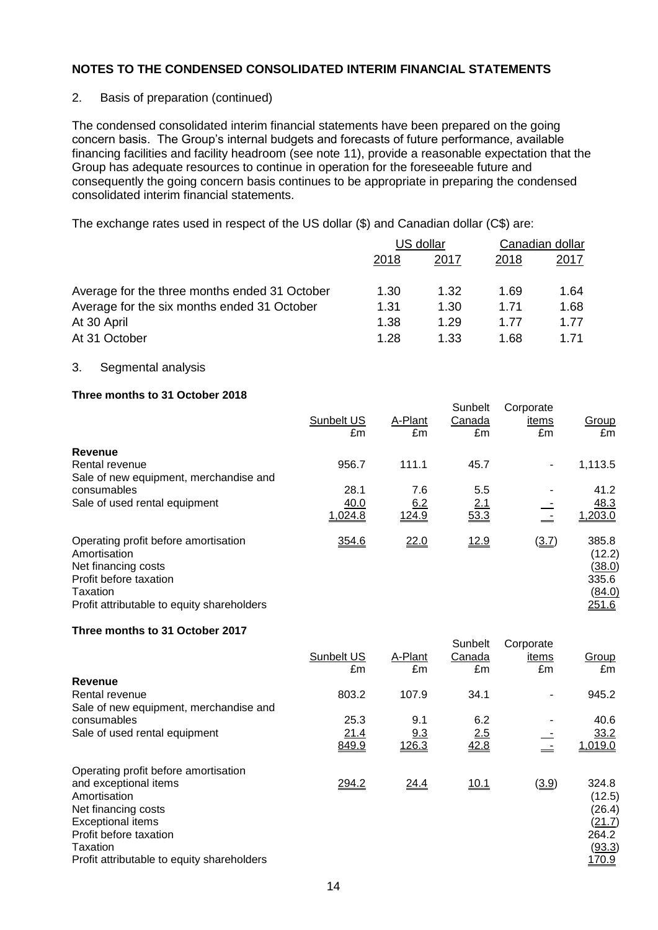### 2. Basis of preparation (continued)

The condensed consolidated interim financial statements have been prepared on the going concern basis. The Group's internal budgets and forecasts of future performance, available financing facilities and facility headroom (see note 11), provide a reasonable expectation that the Group has adequate resources to continue in operation for the foreseeable future and consequently the going concern basis continues to be appropriate in preparing the condensed consolidated interim financial statements.

The exchange rates used in respect of the US dollar (\$) and Canadian dollar (C\$) are:

|                                               | US dollar |      | Canadian dollar |      |
|-----------------------------------------------|-----------|------|-----------------|------|
|                                               | 2018      | 2017 | 2018            | 2017 |
| Average for the three months ended 31 October | 1.30      | 1.32 | 1.69            | 1.64 |
| Average for the six months ended 31 October   | 1.31      | 1.30 | 1.71            | 1.68 |
| At 30 April                                   | 1.38      | 1.29 | 1.77            | 1.77 |
| At 31 October                                 | 1.28      | 1.33 | 1.68            | 1.71 |

#### 3. Segmental analysis

#### **Three months to 31 October 2018**

|                                                                                                                                                                 | Sunbelt US<br>£m | A-Plant<br>£m | Sunbelt<br>Canada<br>£m | Corporate<br>items<br>£m | Group<br>£m                                           |
|-----------------------------------------------------------------------------------------------------------------------------------------------------------------|------------------|---------------|-------------------------|--------------------------|-------------------------------------------------------|
| Revenue                                                                                                                                                         |                  |               |                         |                          |                                                       |
| Rental revenue<br>Sale of new equipment, merchandise and                                                                                                        | 956.7            | 111.1         | 45.7                    | $\blacksquare$           | 1,113.5                                               |
| consumables                                                                                                                                                     | 28.1             | 7.6           | 5.5                     |                          | 41.2                                                  |
| Sale of used rental equipment                                                                                                                                   | 40.0<br>1,024.8  | 6.2<br>124.9  | 2.1<br>53.3             |                          | 48.3<br>1,203.0                                       |
| Operating profit before amortisation<br>Amortisation<br>Net financing costs<br>Profit before taxation<br>Taxation<br>Profit attributable to equity shareholders | 354.6            | 22.0          | <u>12.9</u>             | (3.7)                    | 385.8<br>(12.2)<br>(38.0)<br>335.6<br>(84.0)<br>251.6 |

#### **Three months to 31 October 2017**

|                                                       |                  |               | Sunbelt      | Corporate   |                  |
|-------------------------------------------------------|------------------|---------------|--------------|-------------|------------------|
|                                                       | Sunbelt US<br>£m | A-Plant<br>£m | Canada<br>£m | items<br>£m | Group<br>£m      |
| Revenue                                               |                  |               |              |             |                  |
| Rental revenue                                        | 803.2            | 107.9         | 34.1         |             | 945.2            |
| Sale of new equipment, merchandise and<br>consumables | 25.3             | 9.1           | 6.2          |             | 40.6             |
| Sale of used rental equipment                         | 21.4             | <u>9.3</u>    | 2.5          |             | 33.2             |
|                                                       | 849.9            | 126.3         | 42.8         |             | 1,019.0          |
| Operating profit before amortisation                  |                  |               |              |             |                  |
| and exceptional items                                 | 294.2            | 24.4          | 10.1         | (3.9)       | 324.8            |
| Amortisation<br>Net financing costs                   |                  |               |              |             | (12.5)<br>(26.4) |
| <b>Exceptional items</b>                              |                  |               |              |             | (21.7)           |
| Profit before taxation<br>Taxation                    |                  |               |              |             | 264.2<br>(93.3)  |
| Profit attributable to equity shareholders            |                  |               |              |             | 170.9            |
|                                                       |                  |               |              |             |                  |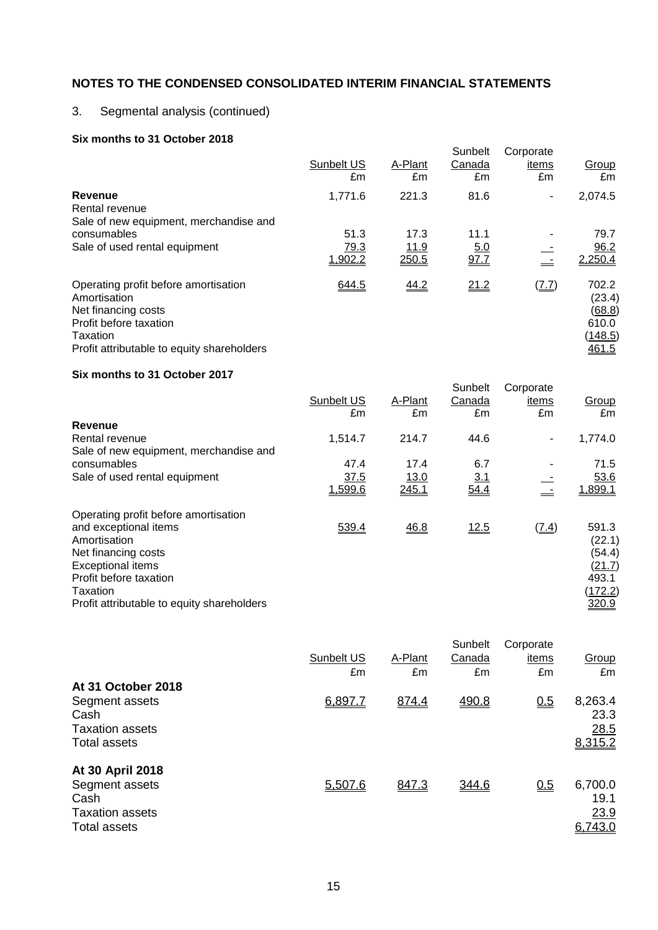# 3. Segmental analysis (continued)

### **Six months to 31 October 2018**

| Sunbelt US<br>£m        | A-Plant<br>£m         | Canada<br>£m        | items<br>£m         | Group<br>£m                                            |
|-------------------------|-----------------------|---------------------|---------------------|--------------------------------------------------------|
| 1,771.6                 | 221.3                 | 81.6                | ٠                   | 2,074.5                                                |
| 51.3<br>79.3<br>1,902.2 | 17.3<br>11.9<br>250.5 | 11.1<br>5.0<br>97.7 |                     | 79.7<br>96.2<br>2,250.4                                |
| 644.5                   | 44.2                  | 21.2                | $(\underline{7.7})$ | 702.2<br>(23.4)<br>(68.8)<br>610.0<br>(148.5)<br>461.5 |
|                         |                       |                     | Sunbelt             | Corporate                                              |

#### **Six months to 31 October 2017**

|                                            | Sunbelt US<br>£m | A-Plant<br>£m | Sunbelt<br>Canada<br>£m | Corporate<br>items<br>£m | Group<br>£m |
|--------------------------------------------|------------------|---------------|-------------------------|--------------------------|-------------|
| Revenue                                    |                  |               |                         |                          |             |
| Rental revenue                             | 1,514.7          | 214.7         | 44.6                    | $\blacksquare$           | 1,774.0     |
| Sale of new equipment, merchandise and     |                  |               |                         |                          |             |
| consumables                                | 47.4             | 17.4          | 6.7                     |                          | 71.5        |
| Sale of used rental equipment              | 37.5             | <u>13.0</u>   | <u>3.1</u>              |                          | 53.6        |
|                                            | 1,599.6          | 245.1         | 54.4                    |                          | 1,899.1     |
| Operating profit before amortisation       |                  |               |                         |                          |             |
| and exceptional items                      | 539.4            | 46.8          | 12.5                    | $(\underline{7.4})$      | 591.3       |
| Amortisation                               |                  |               |                         |                          | (22.1)      |
| Net financing costs                        |                  |               |                         |                          | (54.4)      |
| <b>Exceptional items</b>                   |                  |               |                         |                          | (21.7)      |
| Profit before taxation                     |                  |               |                         |                          | 493.1       |
| Taxation                                   |                  |               |                         |                          | (172.2)     |
| Profit attributable to equity shareholders |                  |               |                         |                          | 320.9       |

|            |         | Sunbelt | Corporate |                                    |
|------------|---------|---------|-----------|------------------------------------|
| Sunbelt US | A-Plant | Canada  | items     | Group                              |
| £m         | £m      | £m      | £m        | £m                                 |
|            |         |         |           |                                    |
| 6,897.7    | 874.4   | 490.8   | 0.5       | 8,263.4<br>23.3<br>28.5<br>8,315.2 |
|            |         |         |           |                                    |
| 5,507.6    | 847.3   | 344.6   | 0.5       | 6,700.0<br>19.1<br>23.9<br>6,743.0 |
|            |         |         |           |                                    |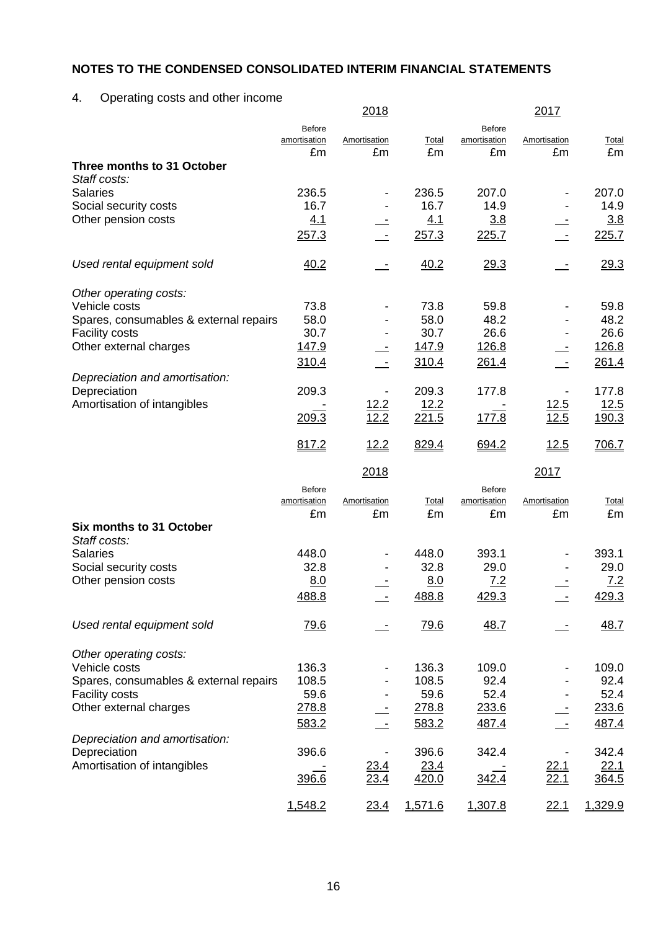# 4. Operating costs and other income

|                                          |               | 2018                |               |              | 2017                               |               |
|------------------------------------------|---------------|---------------------|---------------|--------------|------------------------------------|---------------|
|                                          | <b>Before</b> |                     |               | Before       |                                    |               |
|                                          | amortisation  | Amortisation        | Total         | amortisation | Amortisation                       | <b>Total</b>  |
|                                          | £m            | £m                  | £m            | £m           | £m                                 | £m            |
| Three months to 31 October               |               |                     |               |              |                                    |               |
| Staff costs:                             |               |                     |               |              |                                    |               |
| <b>Salaries</b>                          | 236.5         |                     | 236.5         | 207.0        |                                    | 207.0         |
| Social security costs                    | 16.7          |                     | 16.7          | 14.9         |                                    | 14.9          |
| Other pension costs                      | 4.1           |                     | 4.1           | 3.8          |                                    | 3.8           |
|                                          | 257.3         |                     | 257.3         | 225.7        |                                    | 225.7         |
| Used rental equipment sold               | 40.2          |                     | 40.2          | 29.3         |                                    | 29.3          |
| Other operating costs:                   |               |                     |               |              |                                    |               |
| Vehicle costs                            | 73.8          |                     | 73.8          | 59.8         |                                    | 59.8          |
| Spares, consumables & external repairs   | 58.0          |                     | 58.0          | 48.2         |                                    | 48.2          |
| <b>Facility costs</b>                    | 30.7          |                     | 30.7          | 26.6         |                                    | 26.6          |
| Other external charges                   | <u>147.9</u>  |                     | 147.9         | 126.8        |                                    | 126.8         |
|                                          | 310.4         |                     | 310.4         | 261.4        |                                    | 261.4         |
| Depreciation and amortisation:           |               |                     |               |              |                                    |               |
| Depreciation                             | 209.3         |                     | 209.3         | 177.8        |                                    | 177.8         |
| Amortisation of intangibles              |               | 12.2                | 12.2          |              | 12.5                               | 12.5          |
|                                          | 209.3         | 12.2                | 221.5         | 177.8        | 12.5                               | <u>190.3</u>  |
|                                          |               |                     |               |              |                                    |               |
|                                          | 817.2         | 12.2                | 829.4         | 694.2        | <u>12.5</u>                        | 706.7         |
|                                          |               | 2018                |               |              | 2017                               |               |
|                                          | Before        |                     |               | Before       |                                    |               |
|                                          | amortisation  | Amortisation        | Total         | amortisation | Amortisation                       | <b>Total</b>  |
|                                          | £m            | £m                  | £m            | £m           | £m                                 | £m            |
| Six months to 31 October<br>Staff costs: |               |                     |               |              |                                    |               |
| <b>Salaries</b>                          |               |                     |               |              |                                    |               |
|                                          |               |                     |               |              |                                    |               |
|                                          | 448.0         |                     | 448.0         | 393.1        |                                    | 393.1         |
| Social security costs                    | 32.8          |                     | 32.8          | 29.0         |                                    | 29.0          |
| Other pension costs                      | 8.0           |                     | 8.0           | 7.2          |                                    | 7.2           |
|                                          | 488.8         |                     | 488.8         | 429.3        |                                    | 429.3         |
| Used rental equipment sold               | <u>79.6</u>   |                     | <u>79.6</u>   | 48.7         |                                    | 48.7          |
| Other operating costs:                   |               |                     |               |              |                                    |               |
| Vehicle costs                            | 136.3         |                     | 136.3         | 109.0        |                                    | 109.0         |
| Spares, consumables & external repairs   | 108.5         |                     | 108.5         | 92.4         |                                    | 92.4          |
| <b>Facility costs</b>                    | 59.6          |                     | 59.6          | 52.4         |                                    | 52.4          |
| Other external charges                   | 278.8         |                     | 278.8         | 233.6        |                                    | 233.6         |
|                                          | 583.2         |                     | 583.2         | 487.4        |                                    | 487.4         |
| Depreciation and amortisation:           |               |                     |               |              |                                    |               |
| Depreciation                             | 396.6         |                     | 396.6         | 342.4        |                                    | 342.4         |
| Amortisation of intangibles              | 396.6         | <u>23.4</u><br>23.4 | 23.4<br>420.0 | 342.4        | <u>22.1</u><br>$\frac{22.1}{22.1}$ | 22.1<br>364.5 |

1,548.2 23.4 1,571.6 1,307.8 22.1 1,329.9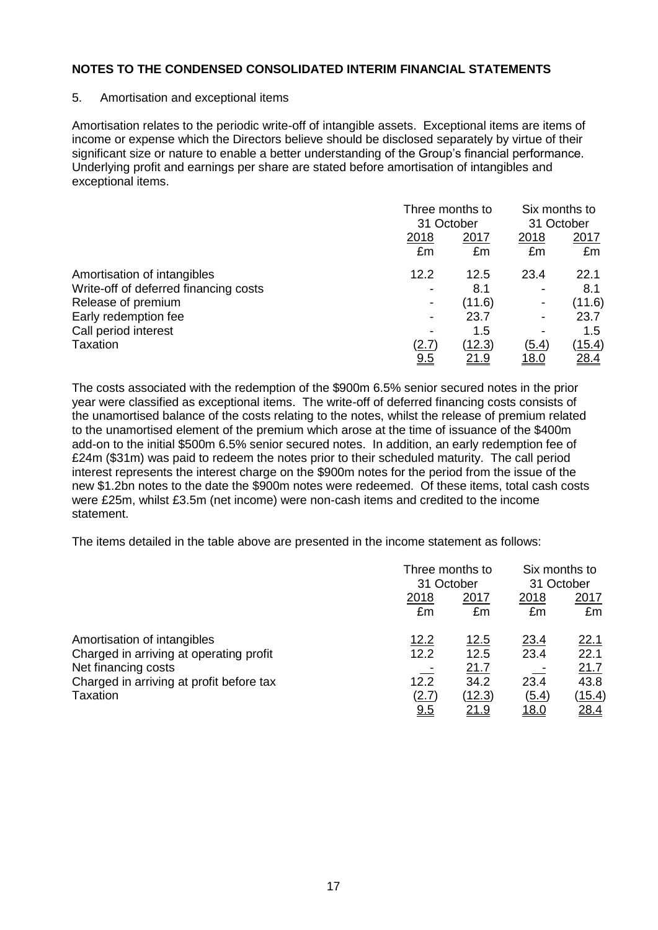#### 5. Amortisation and exceptional items

Amortisation relates to the periodic write-off of intangible assets. Exceptional items are items of income or expense which the Directors believe should be disclosed separately by virtue of their significant size or nature to enable a better understanding of the Group's financial performance. Underlying profit and earnings per share are stated before amortisation of intangibles and exceptional items.

|                                       |                | Three months to<br>31 October |                          | Six months to<br>31 October |  |
|---------------------------------------|----------------|-------------------------------|--------------------------|-----------------------------|--|
|                                       | 2018<br>£m     | 2017<br>£m                    | 2018<br>£m               | 2017<br>£m                  |  |
| Amortisation of intangibles           | 12.2           | 12.5                          | 23.4                     | 22.1                        |  |
| Write-off of deferred financing costs |                | 8.1                           |                          | 8.1                         |  |
| Release of premium                    | $\blacksquare$ | (11.6)                        | $\overline{\phantom{a}}$ | (11.6)                      |  |
| Early redemption fee                  | -              | 23.7                          | $\overline{\phantom{a}}$ | 23.7                        |  |
| Call period interest                  |                | 1.5                           |                          | 1.5                         |  |
| Taxation                              | (2.7)          | (12.3)                        | (5.4)                    | <u>(15.4)</u>               |  |
|                                       | <u>9.5</u>     | 21.9                          | <u> 18.0</u>             | 28.4                        |  |

The costs associated with the redemption of the \$900m 6.5% senior secured notes in the prior year were classified as exceptional items. The write-off of deferred financing costs consists of the unamortised balance of the costs relating to the notes, whilst the release of premium related to the unamortised element of the premium which arose at the time of issuance of the \$400m add-on to the initial \$500m 6.5% senior secured notes. In addition, an early redemption fee of £24m (\$31m) was paid to redeem the notes prior to their scheduled maturity. The call period interest represents the interest charge on the \$900m notes for the period from the issue of the new \$1.2bn notes to the date the \$900m notes were redeemed. Of these items, total cash costs were £25m, whilst £3.5m (net income) were non-cash items and credited to the income statement.

The items detailed in the table above are presented in the income statement as follows:

|                                          | Three months to |              | Six months to |            |  |
|------------------------------------------|-----------------|--------------|---------------|------------|--|
|                                          |                 | 31 October   |               | 31 October |  |
|                                          | 2018            | 2017         | 2018          | 2017       |  |
|                                          | £m              | £m           | £m            | £m         |  |
| Amortisation of intangibles              | 12.2            | <u>12.5</u>  | 23.4          | 22.1       |  |
| Charged in arriving at operating profit  | 12.2            | 12.5         | 23.4          | 22.1       |  |
| Net financing costs                      |                 | 21.7         |               | 21.7       |  |
| Charged in arriving at profit before tax | 12.2            | 34.2         | 23.4          | 43.8       |  |
| Taxation                                 | (2.7)           | (12.3)       | (5.4)         | (15.4)     |  |
|                                          | <u>9.5</u>      | <u> 21.9</u> | <u> 18.0</u>  | 28.4       |  |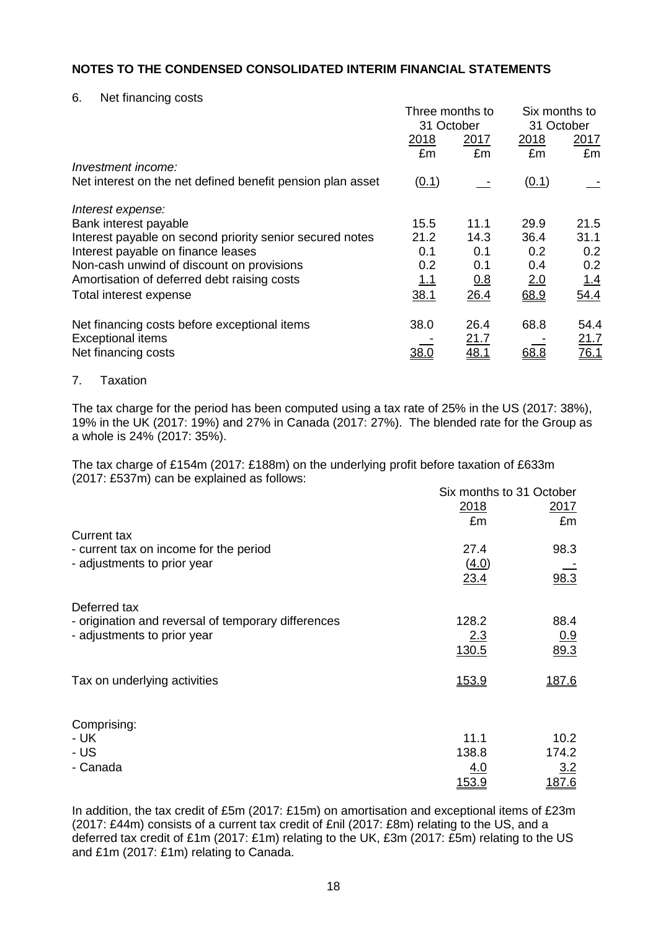6. Net financing costs

|                                                            | Three months to<br>31 October |             | Six months to<br>31 October |             |
|------------------------------------------------------------|-------------------------------|-------------|-----------------------------|-------------|
|                                                            | 2018                          | <u>2017</u> | 2017<br><u>2018</u>         |             |
|                                                            | £m                            | £m          | £m                          | £m          |
| Investment income:                                         |                               |             |                             |             |
| Net interest on the net defined benefit pension plan asset | (0.1)                         |             | (0.1)                       |             |
| Interest expense:                                          |                               |             |                             |             |
| Bank interest payable                                      | 15.5                          | 11.1        | 29.9                        | 21.5        |
| Interest payable on second priority senior secured notes   | 21.2                          | 14.3        | 36.4                        | 31.1        |
| Interest payable on finance leases                         | 0.1                           | 0.1         | 0.2                         | 0.2         |
| Non-cash unwind of discount on provisions                  | 0.2                           | 0.1         | 0.4                         | 0.2         |
| Amortisation of deferred debt raising costs                | <u> 1.1</u>                   | 0.8         | 2.0                         | 1.4         |
| Total interest expense                                     | 38.1                          | 26.4        | 68.9                        | 54.4        |
| Net financing costs before exceptional items               | 38.0                          | 26.4        | 68.8                        | 54.4        |
| <b>Exceptional items</b>                                   |                               | <u>21.7</u> |                             | <u>21.7</u> |
| Net financing costs                                        | <u>38.0</u>                   | <u>48.1</u> | 68.8                        | <u>76.1</u> |

#### 7. Taxation

The tax charge for the period has been computed using a tax rate of 25% in the US (2017: 38%), 19% in the UK (2017: 19%) and 27% in Canada (2017: 27%). The blended rate for the Group as a whole is 24% (2017: 35%).

The tax charge of £154m (2017: £188m) on the underlying profit before taxation of £633m (2017: £537m) can be explained as follows:  $\sum_{i=1}^{n}$  months to 31 October

|                                                     | Six months to 31 October<br>2018 | 2017  |
|-----------------------------------------------------|----------------------------------|-------|
|                                                     | £m                               | £m    |
| <b>Current tax</b>                                  |                                  |       |
| - current tax on income for the period              | 27.4                             | 98.3  |
| - adjustments to prior year                         | (4.0)                            |       |
|                                                     | 23.4                             | 98.3  |
| Deferred tax                                        |                                  |       |
| - origination and reversal of temporary differences | 128.2                            | 88.4  |
| - adjustments to prior year                         | 2.3                              | 0.9   |
|                                                     | 130.5                            | 89.3  |
| Tax on underlying activities                        | 153.9                            | 187.6 |
|                                                     |                                  |       |
| Comprising:                                         |                                  |       |
| - UK                                                | 11.1                             | 10.2  |
| - US                                                | 138.8                            | 174.2 |
| - Canada                                            | <u>4.0</u>                       | 3.2   |
|                                                     | 153.9                            | 187.6 |
|                                                     |                                  |       |

In addition, the tax credit of £5m (2017: £15m) on amortisation and exceptional items of £23m (2017: £44m) consists of a current tax credit of £nil (2017: £8m) relating to the US, and a deferred tax credit of £1m (2017: £1m) relating to the UK, £3m (2017: £5m) relating to the US and £1m (2017: £1m) relating to Canada.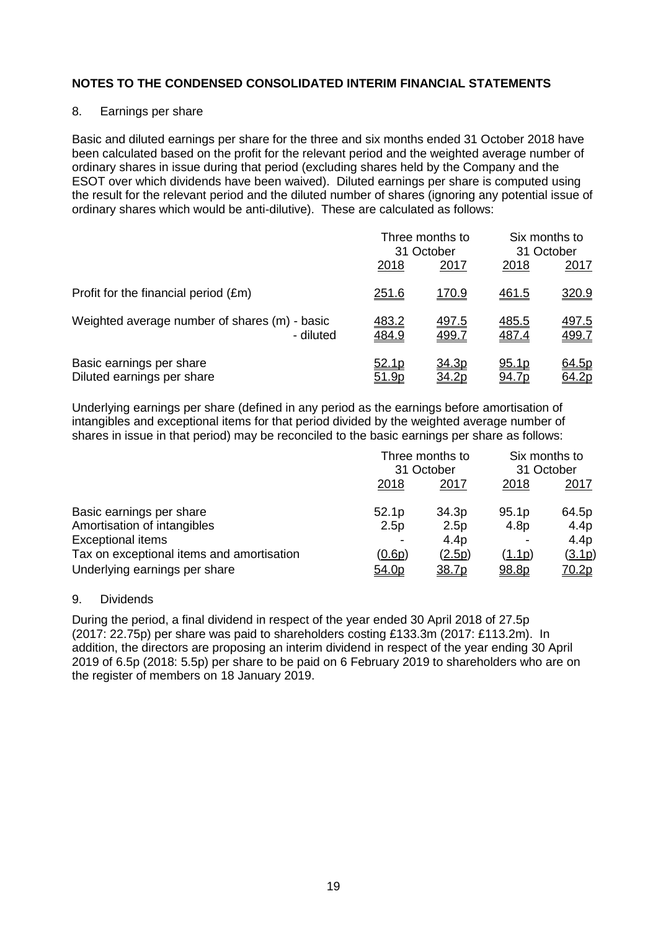#### 8. Earnings per share

Basic and diluted earnings per share for the three and six months ended 31 October 2018 have been calculated based on the profit for the relevant period and the weighted average number of ordinary shares in issue during that period (excluding shares held by the Company and the ESOT over which dividends have been waived). Diluted earnings per share is computed using the result for the relevant period and the diluted number of shares (ignoring any potential issue of ordinary shares which would be anti-dilutive). These are calculated as follows:

|                                               | 2018         | Three months to<br>31 October<br>2017 | 2018         | Six months to<br>31 October<br><u>2017</u> |
|-----------------------------------------------|--------------|---------------------------------------|--------------|--------------------------------------------|
| Profit for the financial period (£m)          | 251.6        | 170.9                                 | <u>461.5</u> | 320.9                                      |
| Weighted average number of shares (m) - basic | 483.2        | <u>497.5</u>                          | <u>485.5</u> | <u>497.5</u>                               |
| - diluted                                     | 484.9        | 499.7                                 | 487.4        | 499.7                                      |
| Basic earnings per share                      | 52.1p        | 34.3p                                 | 95.1p        | 64.5p                                      |
| Diluted earnings per share                    | <u>51.9p</u> | <u>34.2p</u>                          | <u>94.7p</u> | 64.2p                                      |

Underlying earnings per share (defined in any period as the earnings before amortisation of intangibles and exceptional items for that period divided by the weighted average number of shares in issue in that period) may be reconciled to the basic earnings per share as follows:

|                                           | Three months to<br>31 October |                  | Six months to<br>31 October |                  |
|-------------------------------------------|-------------------------------|------------------|-----------------------------|------------------|
|                                           |                               |                  |                             |                  |
|                                           | 2018                          | 2017             | 2018                        | <u> 2017</u>     |
| Basic earnings per share                  | 52.1 <sub>p</sub>             | 34.3p            | 95.1p                       | 64.5p            |
| Amortisation of intangibles               | 2.5p                          | 2.5p             | 4.8p                        | 4.4 <sub>p</sub> |
| <b>Exceptional items</b>                  |                               | 4.4 <sub>p</sub> |                             | 4.4 <sub>p</sub> |
| Tax on exceptional items and amortisation | (0.6p)                        | (2.5p)           | (1.1p)                      | (3.1p)           |
| Underlying earnings per share             | 54.0p                         | 38.7p            | 98.8p                       | 70.2p            |

## 9. Dividends

During the period, a final dividend in respect of the year ended 30 April 2018 of 27.5p (2017: 22.75p) per share was paid to shareholders costing £133.3m (2017: £113.2m). In addition, the directors are proposing an interim dividend in respect of the year ending 30 April 2019 of 6.5p (2018: 5.5p) per share to be paid on 6 February 2019 to shareholders who are on the register of members on 18 January 2019.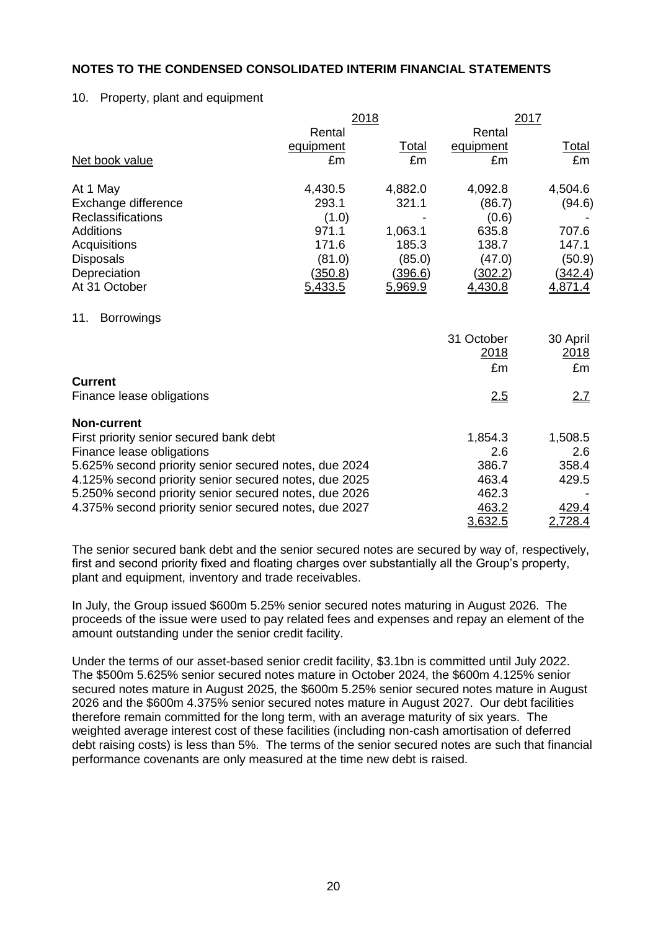#### 10. Property, plant and equipment

|                                                       | 2018           |         |            | 2017         |  |
|-------------------------------------------------------|----------------|---------|------------|--------------|--|
|                                                       | Rental         |         | Rental     |              |  |
|                                                       | equipment      | Total   | equipment  | <b>Total</b> |  |
| Net book value                                        | £m             | £m      | £m         | £m           |  |
| At 1 May                                              | 4,430.5        | 4,882.0 | 4,092.8    | 4,504.6      |  |
| Exchange difference                                   | 293.1          | 321.1   | (86.7)     | (94.6)       |  |
| Reclassifications                                     | (1.0)          |         | (0.6)      |              |  |
| <b>Additions</b>                                      | 971.1          | 1,063.1 | 635.8      | 707.6        |  |
| Acquisitions                                          | 171.6          | 185.3   | 138.7      | 147.1        |  |
| <b>Disposals</b>                                      | (81.0)         | (85.0)  | (47.0)     | (50.9)       |  |
| Depreciation                                          | <u>(350.8)</u> | (396.6) | (302.2)    | (342.4)      |  |
| At 31 October                                         | 5,433.5        | 5,969.9 | 4,430.8    | 4,871.4      |  |
| 11.<br><b>Borrowings</b>                              |                |         |            |              |  |
|                                                       |                |         | 31 October | 30 April     |  |
|                                                       |                |         | 2018       | 2018         |  |
|                                                       |                |         | £m         | £m           |  |
| <b>Current</b>                                        |                |         |            |              |  |
| Finance lease obligations                             |                |         | 2.5        | 2.7          |  |
| <b>Non-current</b>                                    |                |         |            |              |  |
| First priority senior secured bank debt               |                |         | 1,854.3    | 1,508.5      |  |
| Finance lease obligations                             |                |         | 2.6        | 2.6          |  |
| 5.625% second priority senior secured notes, due 2024 |                |         | 386.7      | 358.4        |  |
| 4.125% second priority senior secured notes, due 2025 |                |         | 463.4      | 429.5        |  |
| 5.250% second priority senior secured notes, due 2026 |                |         | 462.3      |              |  |
| 4.375% second priority senior secured notes, due 2027 |                |         | 463.2      | 429.4        |  |
|                                                       |                |         | 3,632.5    | 2,728.4      |  |

The senior secured bank debt and the senior secured notes are secured by way of, respectively, first and second priority fixed and floating charges over substantially all the Group's property, plant and equipment, inventory and trade receivables.

In July, the Group issued \$600m 5.25% senior secured notes maturing in August 2026. The proceeds of the issue were used to pay related fees and expenses and repay an element of the amount outstanding under the senior credit facility.

Under the terms of our asset-based senior credit facility, \$3.1bn is committed until July 2022. The \$500m 5.625% senior secured notes mature in October 2024, the \$600m 4.125% senior secured notes mature in August 2025, the \$600m 5.25% senior secured notes mature in August 2026 and the \$600m 4.375% senior secured notes mature in August 2027. Our debt facilities therefore remain committed for the long term, with an average maturity of six years. The weighted average interest cost of these facilities (including non-cash amortisation of deferred debt raising costs) is less than 5%. The terms of the senior secured notes are such that financial performance covenants are only measured at the time new debt is raised.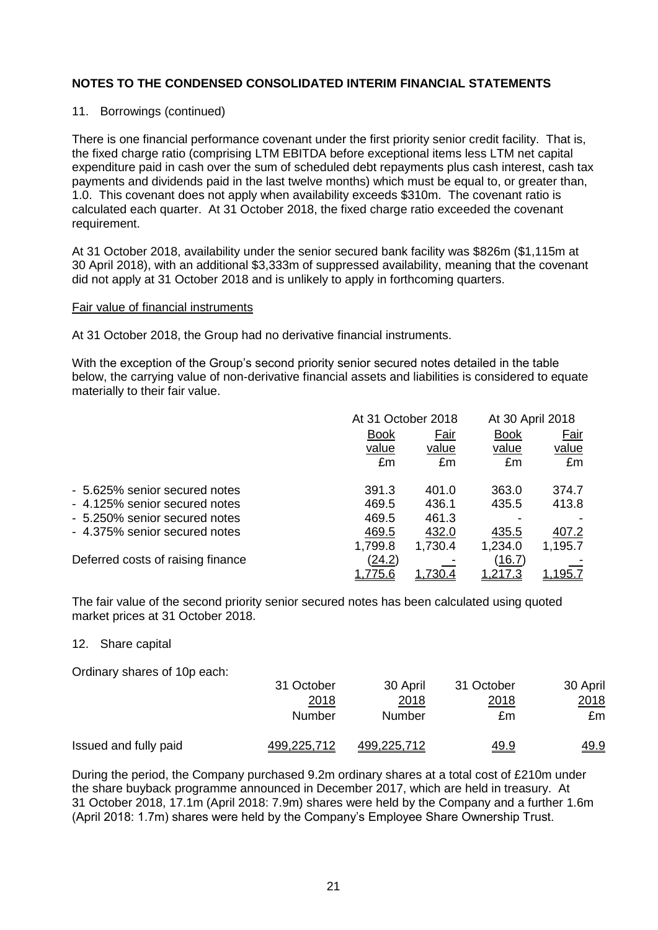#### 11. Borrowings (continued)

There is one financial performance covenant under the first priority senior credit facility. That is, the fixed charge ratio (comprising LTM EBITDA before exceptional items less LTM net capital expenditure paid in cash over the sum of scheduled debt repayments plus cash interest, cash tax payments and dividends paid in the last twelve months) which must be equal to, or greater than, 1.0. This covenant does not apply when availability exceeds \$310m. The covenant ratio is calculated each quarter. At 31 October 2018, the fixed charge ratio exceeded the covenant requirement.

At 31 October 2018, availability under the senior secured bank facility was \$826m (\$1,115m at 30 April 2018), with an additional \$3,333m of suppressed availability, meaning that the covenant did not apply at 31 October 2018 and is unlikely to apply in forthcoming quarters.

#### Fair value of financial instruments

At 31 October 2018, the Group had no derivative financial instruments.

With the exception of the Group's second priority senior secured notes detailed in the table below, the carrying value of non-derivative financial assets and liabilities is considered to equate materially to their fair value.

|                                   |                | At 31 October 2018 |              | At 30 April 2018 |
|-----------------------------------|----------------|--------------------|--------------|------------------|
|                                   | <b>Book</b>    | Fair               |              | Fair             |
|                                   | value          | value              | value        | value            |
|                                   | £m             | £m                 | £m           | £m               |
| - 5.625% senior secured notes     | 391.3          | 401.0              | 363.0        | 374.7            |
| - 4.125% senior secured notes     | 469.5          | 436.1              | 435.5        | 413.8            |
| - 5.250% senior secured notes     | 469.5          | 461.3              |              |                  |
| - 4.375% senior secured notes     | 469.5          | 432.0              | 435.5        | 407.2            |
|                                   | 1,799.8        | 1,730.4            | 1,234.0      | 1,195.7          |
| Deferred costs of raising finance | <u>(24.2)</u>  |                    | (16.7)       |                  |
|                                   | <u>1,775.6</u> |                    | <u>217.3</u> | 95.7             |

The fair value of the second priority senior secured notes has been calculated using quoted market prices at 31 October 2018.

#### 12. Share capital

Ordinary shares of 10p each:

|                       | 31 October  | 30 April    | 31 October   | 30 April    |
|-----------------------|-------------|-------------|--------------|-------------|
|                       | <u>2018</u> | 2018        | <u> 2018</u> | 2018        |
|                       | Number      | Number      | £m           | £m          |
| Issued and fully paid | 499,225,712 | 499,225,712 | <u>49.9</u>  | <u>49.9</u> |

During the period, the Company purchased 9.2m ordinary shares at a total cost of £210m under the share buyback programme announced in December 2017, which are held in treasury. At 31 October 2018, 17.1m (April 2018: 7.9m) shares were held by the Company and a further 1.6m (April 2018: 1.7m) shares were held by the Company's Employee Share Ownership Trust.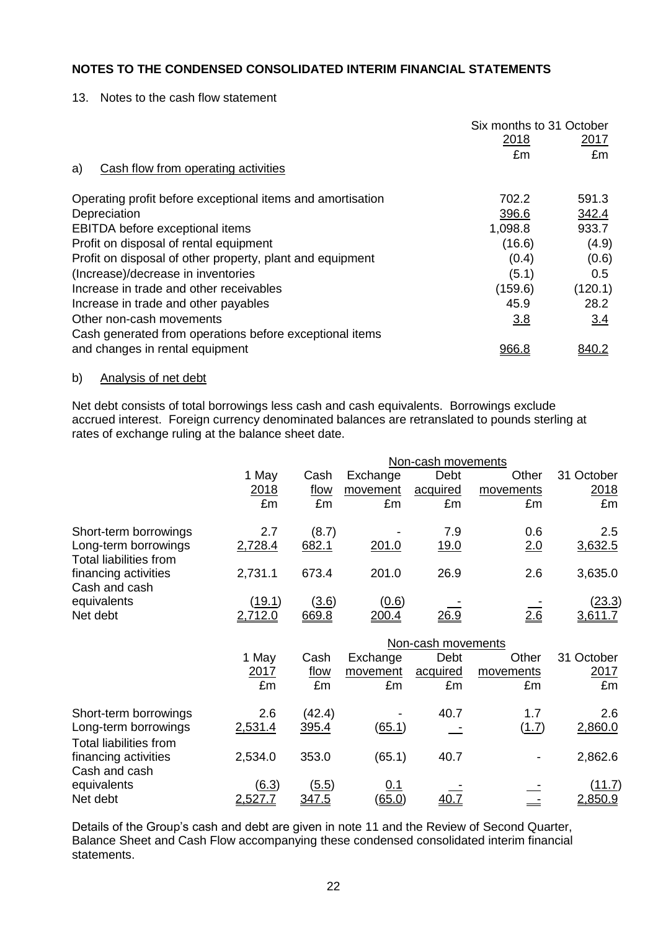13. Notes to the cash flow statement

|                                                            | Six months to 31 October |              |
|------------------------------------------------------------|--------------------------|--------------|
|                                                            | 2018                     | 2017         |
|                                                            | £m                       | £m           |
| Cash flow from operating activities<br>a)                  |                          |              |
| Operating profit before exceptional items and amortisation | 702.2                    | 591.3        |
| Depreciation                                               | 396.6                    | 342.4        |
| EBITDA before exceptional items                            | 1,098.8                  | 933.7        |
| Profit on disposal of rental equipment                     | (16.6)                   | (4.9)        |
| Profit on disposal of other property, plant and equipment  | (0.4)                    | (0.6)        |
| (Increase)/decrease in inventories                         | (5.1)                    | 0.5          |
| Increase in trade and other receivables                    | (159.6)                  | (120.1)      |
| Increase in trade and other payables                       | 45.9                     | 28.2         |
| Other non-cash movements                                   | 3.8                      | 3.4          |
| Cash generated from operations before exceptional items    |                          |              |
| and changes in rental equipment                            | 966.8                    | <u>840.2</u> |

## b) Analysis of net debt

Net debt consists of total borrowings less cash and cash equivalents. Borrowings exclude accrued interest. Foreign currency denominated balances are retranslated to pounds sterling at rates of exchange ruling at the balance sheet date.

|                                                                        |                  |                       |                             | Non-cash movements |           |                                 |
|------------------------------------------------------------------------|------------------|-----------------------|-----------------------------|--------------------|-----------|---------------------------------|
|                                                                        | 1 May            | Cash                  | Exchange                    | Debt               | Other     | 31 October                      |
|                                                                        | 2018             | flow                  | movement                    | acquired           | movements | 2018                            |
|                                                                        | £m               | £m                    | £m                          | £m                 | £m        | £m                              |
| Short-term borrowings                                                  | 2.7              | (8.7)                 |                             | 7.9                | 0.6       | 2.5                             |
| Long-term borrowings<br><b>Total liabilities from</b>                  | 2,728.4          | 682.1                 | 201.0                       | 19.0               | 2.0       | 3,632.5                         |
| financing activities<br>Cash and cash                                  | 2,731.1          | 673.4                 | 201.0                       | 26.9               | 2.6       | 3,635.0                         |
| equivalents                                                            | <u>(19.1)</u>    | (3.6)                 | <u>(0.6)</u>                |                    |           | <u>(23.3)</u>                   |
| Net debt                                                               | 2,712.0          | 669.8                 | 200.4                       | <u>26.9</u>        | 2.6       | 3,611.7                         |
|                                                                        |                  |                       |                             |                    |           |                                 |
|                                                                        |                  |                       |                             | Non-cash movements |           |                                 |
|                                                                        | 1 May            | Cash                  | Exchange                    | Debt               | Other     | 31 October                      |
|                                                                        | 2017             | flow                  | movement                    | acquired           | movements | 2017                            |
|                                                                        | £m               | £m                    | £m                          | £m                 | £m        | £m                              |
|                                                                        | 2.6              |                       |                             | 40.7               | 1.7       | 2.6                             |
| Short-term borrowings<br>Long-term borrowings                          | 2,531.4          | (42.4)<br>395.4       | (65.1)                      |                    | (1.7)     | 2,860.0                         |
| <b>Total liabilities from</b><br>financing activities<br>Cash and cash | 2,534.0          | 353.0                 | (65.1)                      | 40.7               |           | 2,862.6                         |
| equivalents<br>Net debt                                                | (6.3)<br>2,527.7 | (5.5)<br><u>347.5</u> | <u>0.1</u><br><u>(65.0)</u> |                    |           | <u>(11.7)</u><br><u>2,850.9</u> |

Details of the Group's cash and debt are given in note 11 and the Review of Second Quarter, Balance Sheet and Cash Flow accompanying these condensed consolidated interim financial statements.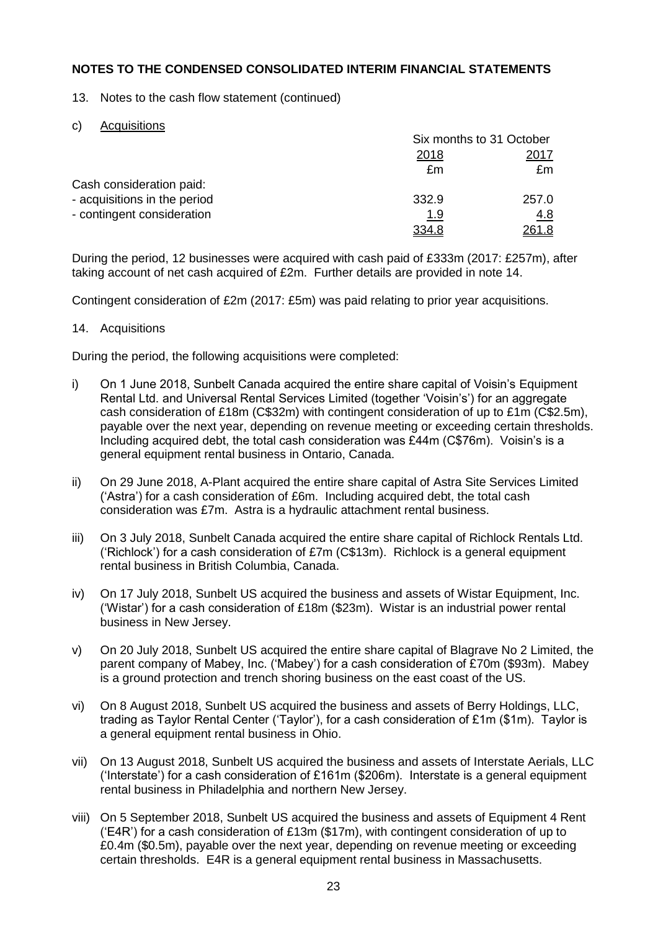13. Notes to the cash flow statement (continued)

c) Acquisitions

|                              | Six months to 31 October |            |  |
|------------------------------|--------------------------|------------|--|
|                              | 2018                     | 2017       |  |
|                              | £m                       | £m         |  |
| Cash consideration paid:     |                          |            |  |
| - acquisitions in the period | 332.9                    | 257.0      |  |
| - contingent consideration   | <u>1.9</u>               | <u>4.8</u> |  |
|                              | 334.8                    | 261.8      |  |

During the period, 12 businesses were acquired with cash paid of £333m (2017: £257m), after taking account of net cash acquired of £2m. Further details are provided in note 14.

Contingent consideration of £2m (2017: £5m) was paid relating to prior year acquisitions.

### 14. Acquisitions

During the period, the following acquisitions were completed:

- i) On 1 June 2018, Sunbelt Canada acquired the entire share capital of Voisin's Equipment Rental Ltd. and Universal Rental Services Limited (together 'Voisin's') for an aggregate cash consideration of £18m (C\$32m) with contingent consideration of up to £1m (C\$2.5m), payable over the next year, depending on revenue meeting or exceeding certain thresholds. Including acquired debt, the total cash consideration was £44m (C\$76m). Voisin's is a general equipment rental business in Ontario, Canada.
- ii) On 29 June 2018, A-Plant acquired the entire share capital of Astra Site Services Limited ('Astra') for a cash consideration of £6m. Including acquired debt, the total cash consideration was £7m. Astra is a hydraulic attachment rental business.
- iii) On 3 July 2018, Sunbelt Canada acquired the entire share capital of Richlock Rentals Ltd. ('Richlock') for a cash consideration of £7m (C\$13m). Richlock is a general equipment rental business in British Columbia, Canada.
- iv) On 17 July 2018, Sunbelt US acquired the business and assets of Wistar Equipment, Inc. ('Wistar') for a cash consideration of £18m (\$23m). Wistar is an industrial power rental business in New Jersey.
- v) On 20 July 2018, Sunbelt US acquired the entire share capital of Blagrave No 2 Limited, the parent company of Mabey, Inc. ('Mabey') for a cash consideration of £70m (\$93m). Mabey is a ground protection and trench shoring business on the east coast of the US.
- vi) On 8 August 2018, Sunbelt US acquired the business and assets of Berry Holdings, LLC, trading as Taylor Rental Center ('Taylor'), for a cash consideration of £1m (\$1m). Taylor is a general equipment rental business in Ohio.
- vii) On 13 August 2018, Sunbelt US acquired the business and assets of Interstate Aerials, LLC ('Interstate') for a cash consideration of £161m (\$206m). Interstate is a general equipment rental business in Philadelphia and northern New Jersey.
- viii) On 5 September 2018, Sunbelt US acquired the business and assets of Equipment 4 Rent ('E4R') for a cash consideration of £13m ( $$17m$ ), with contingent consideration of up to £0.4m (\$0.5m), payable over the next year, depending on revenue meeting or exceeding certain thresholds. E4R is a general equipment rental business in Massachusetts.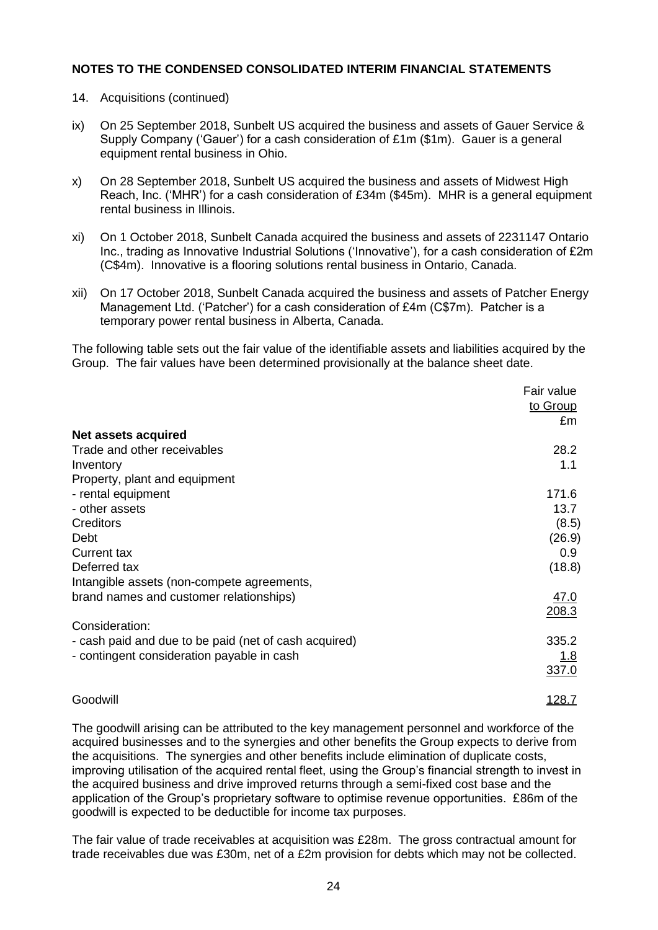- 14. Acquisitions (continued)
- ix) On 25 September 2018, Sunbelt US acquired the business and assets of Gauer Service & Supply Company ('Gauer') for a cash consideration of £1m (\$1m). Gauer is a general equipment rental business in Ohio.
- x) On 28 September 2018, Sunbelt US acquired the business and assets of Midwest High Reach, Inc. ('MHR') for a cash consideration of £34m (\$45m). MHR is a general equipment rental business in Illinois.
- xi) On 1 October 2018, Sunbelt Canada acquired the business and assets of 2231147 Ontario Inc., trading as Innovative Industrial Solutions ('Innovative'), for a cash consideration of £2m (C\$4m). Innovative is a flooring solutions rental business in Ontario, Canada.
- xii) On 17 October 2018, Sunbelt Canada acquired the business and assets of Patcher Energy Management Ltd. ('Patcher') for a cash consideration of £4m (C\$7m). Patcher is a temporary power rental business in Alberta, Canada.

The following table sets out the fair value of the identifiable assets and liabilities acquired by the Group. The fair values have been determined provisionally at the balance sheet date.

|                                                       | Fair value    |
|-------------------------------------------------------|---------------|
|                                                       | to Group      |
|                                                       | £m            |
| <b>Net assets acquired</b>                            |               |
| Trade and other receivables                           | 28.2          |
| Inventory                                             | 1.1           |
| Property, plant and equipment                         |               |
| - rental equipment                                    | 171.6         |
| - other assets                                        | 13.7          |
| Creditors                                             | (8.5)         |
| Debt                                                  | (26.9)        |
| <b>Current tax</b>                                    | 0.9           |
| Deferred tax                                          | (18.8)        |
| Intangible assets (non-compete agreements,            |               |
| brand names and customer relationships)               | <u>47.0</u>   |
|                                                       | 208.3         |
| Consideration:                                        |               |
| - cash paid and due to be paid (net of cash acquired) | 335.2         |
| - contingent consideration payable in cash            | <u>1.8</u>    |
|                                                       | 337.0         |
| Goodwill                                              | <u> 128.7</u> |

The goodwill arising can be attributed to the key management personnel and workforce of the acquired businesses and to the synergies and other benefits the Group expects to derive from the acquisitions. The synergies and other benefits include elimination of duplicate costs, improving utilisation of the acquired rental fleet, using the Group's financial strength to invest in the acquired business and drive improved returns through a semi-fixed cost base and the application of the Group's proprietary software to optimise revenue opportunities. £86m of the goodwill is expected to be deductible for income tax purposes.

The fair value of trade receivables at acquisition was £28m. The gross contractual amount for trade receivables due was £30m, net of a £2m provision for debts which may not be collected.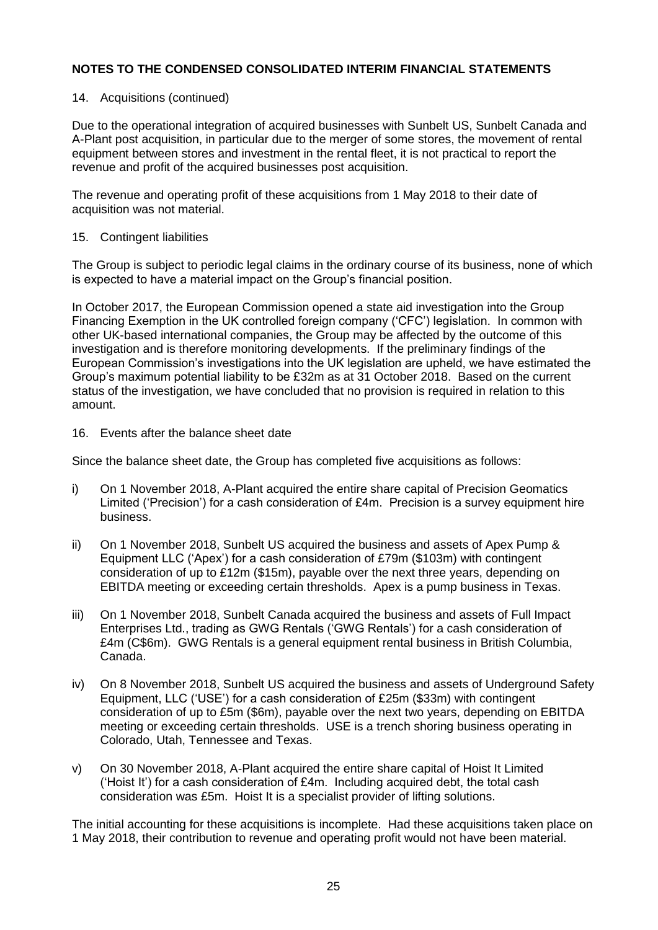#### 14. Acquisitions (continued)

Due to the operational integration of acquired businesses with Sunbelt US, Sunbelt Canada and A-Plant post acquisition, in particular due to the merger of some stores, the movement of rental equipment between stores and investment in the rental fleet, it is not practical to report the revenue and profit of the acquired businesses post acquisition.

The revenue and operating profit of these acquisitions from 1 May 2018 to their date of acquisition was not material.

#### 15. Contingent liabilities

The Group is subject to periodic legal claims in the ordinary course of its business, none of which is expected to have a material impact on the Group's financial position.

In October 2017, the European Commission opened a state aid investigation into the Group Financing Exemption in the UK controlled foreign company ('CFC') legislation. In common with other UK-based international companies, the Group may be affected by the outcome of this investigation and is therefore monitoring developments. If the preliminary findings of the European Commission's investigations into the UK legislation are upheld, we have estimated the Group's maximum potential liability to be £32m as at 31 October 2018. Based on the current status of the investigation, we have concluded that no provision is required in relation to this amount.

#### 16. Events after the balance sheet date

Since the balance sheet date, the Group has completed five acquisitions as follows:

- i) On 1 November 2018, A-Plant acquired the entire share capital of Precision Geomatics Limited ('Precision') for a cash consideration of £4m. Precision is a survey equipment hire business.
- ii) On 1 November 2018, Sunbelt US acquired the business and assets of Apex Pump & Equipment LLC ('Apex') for a cash consideration of £79m (\$103m) with contingent consideration of up to £12m (\$15m), payable over the next three years, depending on EBITDA meeting or exceeding certain thresholds. Apex is a pump business in Texas.
- iii) On 1 November 2018, Sunbelt Canada acquired the business and assets of Full Impact Enterprises Ltd., trading as GWG Rentals ('GWG Rentals') for a cash consideration of £4m (C\$6m). GWG Rentals is a general equipment rental business in British Columbia, Canada.
- iv) On 8 November 2018, Sunbelt US acquired the business and assets of Underground Safety Equipment, LLC ('USE') for a cash consideration of £25m (\$33m) with contingent consideration of up to £5m (\$6m), payable over the next two years, depending on EBITDA meeting or exceeding certain thresholds. USE is a trench shoring business operating in Colorado, Utah, Tennessee and Texas.
- v) On 30 November 2018, A-Plant acquired the entire share capital of Hoist It Limited ('Hoist It') for a cash consideration of £4m. Including acquired debt, the total cash consideration was £5m. Hoist It is a specialist provider of lifting solutions.

The initial accounting for these acquisitions is incomplete. Had these acquisitions taken place on 1 May 2018, their contribution to revenue and operating profit would not have been material.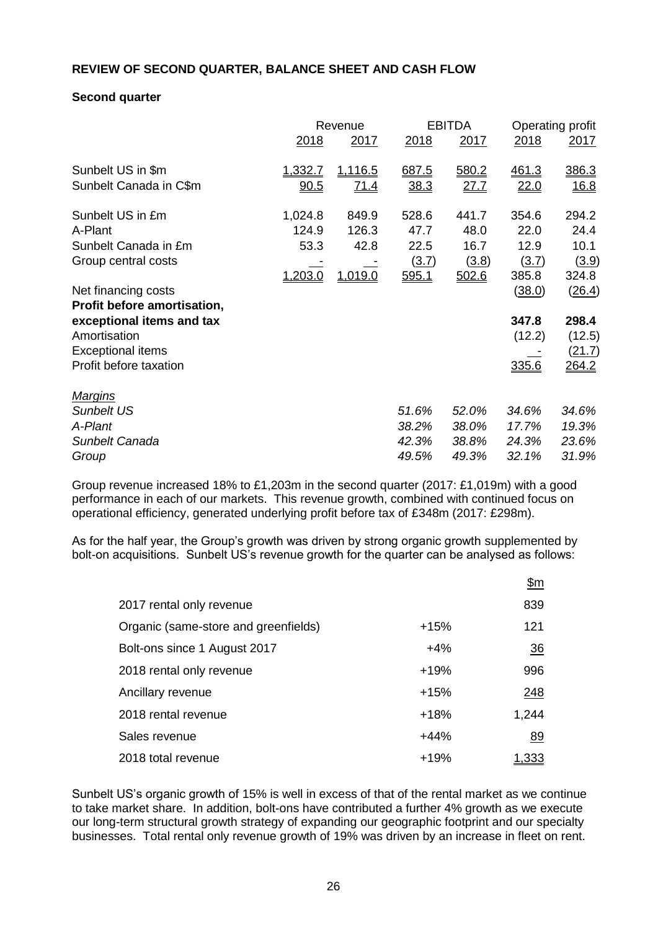## **REVIEW OF SECOND QUARTER, BALANCE SHEET AND CASH FLOW**

#### **Second quarter**

|                             |                | Revenue        |       | <b>EBITDA</b> |        | Operating profit |  |
|-----------------------------|----------------|----------------|-------|---------------|--------|------------------|--|
|                             | 2018           | 2017           | 2018  | 2017          | 2018   | 2017             |  |
| Sunbelt US in \$m           | <u>1.332.7</u> | <u>1,116.5</u> | 687.5 | 580.2         | 461.3  | 386.3            |  |
| Sunbelt Canada in C\$m      | 90.5           | <u>71.4</u>    | 38.3  | 27.7          | 22.0   | <u>16.8</u>      |  |
| Sunbelt US in £m            | 1,024.8        | 849.9          | 528.6 | 441.7         | 354.6  | 294.2            |  |
| A-Plant                     | 124.9          | 126.3          | 47.7  | 48.0          | 22.0   | 24.4             |  |
| Sunbelt Canada in £m        | 53.3           | 42.8           | 22.5  | 16.7          | 12.9   | 10.1             |  |
| Group central costs         |                |                | (3.7) | (3.8)         | (3.7)  | (3.9)            |  |
|                             | 1,203.0        | 1,019.0        | 595.1 | 502.6         | 385.8  | 324.8            |  |
| Net financing costs         |                |                |       |               | (38.0) | (26.4)           |  |
| Profit before amortisation, |                |                |       |               |        |                  |  |
| exceptional items and tax   |                |                |       |               | 347.8  | 298.4            |  |
| Amortisation                |                |                |       |               | (12.2) | (12.5)           |  |
| <b>Exceptional items</b>    |                |                |       |               |        | (21.7)           |  |
| Profit before taxation      |                |                |       |               | 335.6  | <u> 264.2</u>    |  |
| <b>Margins</b>              |                |                |       |               |        |                  |  |
| <b>Sunbelt US</b>           |                |                | 51.6% | 52.0%         | 34.6%  | 34.6%            |  |
| A-Plant                     |                |                | 38.2% | 38.0%         | 17.7%  | 19.3%            |  |
| Sunbelt Canada              |                |                | 42.3% | 38.8%         | 24.3%  | 23.6%            |  |
| Group                       |                |                | 49.5% | 49.3%         | 32.1%  | 31.9%            |  |

Group revenue increased 18% to £1,203m in the second quarter (2017: £1,019m) with a good performance in each of our markets. This revenue growth, combined with continued focus on operational efficiency, generated underlying profit before tax of £348m (2017: £298m).

As for the half year, the Group's growth was driven by strong organic growth supplemented by bolt-on acquisitions. Sunbelt US's revenue growth for the quarter can be analysed as follows:

|                                      |        | <u>\$m</u>   |
|--------------------------------------|--------|--------------|
| 2017 rental only revenue             |        | 839          |
| Organic (same-store and greenfields) | $+15%$ | 121          |
| Bolt-ons since 1 August 2017         | $+4%$  | 36           |
| 2018 rental only revenue             | $+19%$ | 996          |
| Ancillary revenue                    | $+15%$ | 248          |
| 2018 rental revenue                  | $+18%$ | 1,244        |
| Sales revenue                        | $+44%$ | 89           |
| 2018 total revenue                   | $+19%$ | <u>1.333</u> |

Sunbelt US's organic growth of 15% is well in excess of that of the rental market as we continue to take market share. In addition, bolt-ons have contributed a further 4% growth as we execute our long-term structural growth strategy of expanding our geographic footprint and our specialty businesses. Total rental only revenue growth of 19% was driven by an increase in fleet on rent.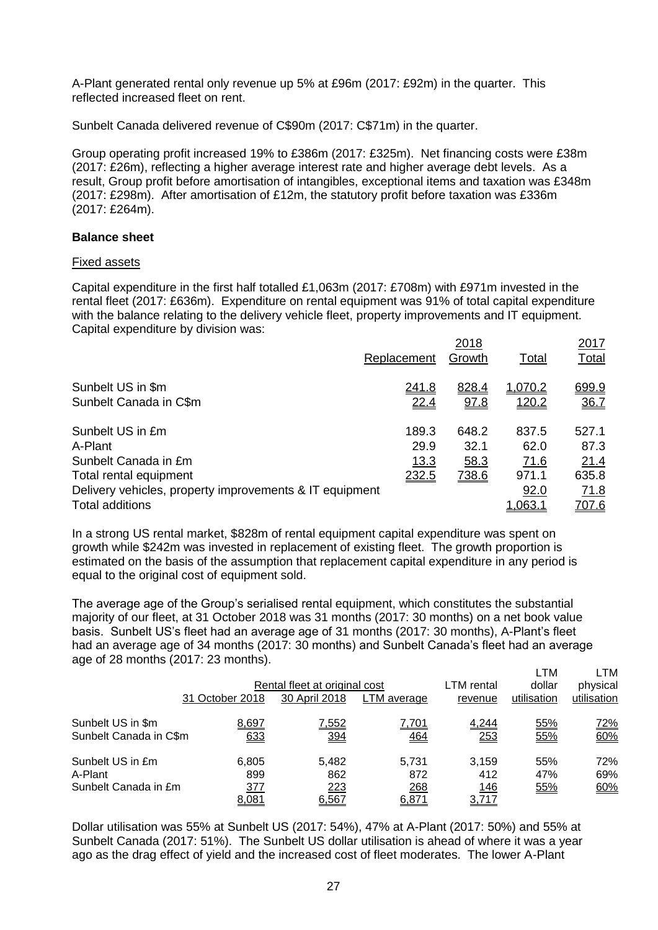A-Plant generated rental only revenue up 5% at £96m (2017: £92m) in the quarter. This reflected increased fleet on rent.

Sunbelt Canada delivered revenue of C\$90m (2017: C\$71m) in the quarter.

Group operating profit increased 19% to £386m (2017: £325m). Net financing costs were £38m (2017: £26m), reflecting a higher average interest rate and higher average debt levels. As a result, Group profit before amortisation of intangibles, exceptional items and taxation was £348m (2017: £298m). After amortisation of £12m, the statutory profit before taxation was £336m (2017: £264m).

## **Balance sheet**

#### Fixed assets

Capital expenditure in the first half totalled £1,063m (2017: £708m) with £971m invested in the rental fleet (2017: £636m). Expenditure on rental equipment was 91% of total capital expenditure with the balance relating to the delivery vehicle fleet, property improvements and IT equipment. Capital expenditure by division was:

|                                                                                   | Replacement | 2018<br>Growth | <b>Total</b>           | 2017<br><b>Total</b> |
|-----------------------------------------------------------------------------------|-------------|----------------|------------------------|----------------------|
| Sunbelt US in \$m                                                                 | 241.8       | 828.4          | 1,070.2                | 699.9                |
| Sunbelt Canada in C\$m                                                            | 22.4        | 97.8           | <u>120.2</u>           | 36.7                 |
| Sunbelt US in £m                                                                  | 189.3       | 648.2          | 837.5                  | 527.1                |
| A-Plant                                                                           | 29.9        | 32.1           | 62.0                   | 87.3                 |
| Sunbelt Canada in £m                                                              | <u>13.3</u> | 58.3           | 71.6                   | 21.4                 |
| Total rental equipment                                                            | 232.5       | 738.6          | 971.1                  | 635.8                |
| Delivery vehicles, property improvements & IT equipment<br><b>Total additions</b> |             |                | 92.0<br><u>1.063.1</u> | 71.8<br><u>707.6</u> |

In a strong US rental market, \$828m of rental equipment capital expenditure was spent on growth while \$242m was invested in replacement of existing fleet. The growth proportion is estimated on the basis of the assumption that replacement capital expenditure in any period is equal to the original cost of equipment sold.

The average age of the Group's serialised rental equipment, which constitutes the substantial majority of our fleet, at 31 October 2018 was 31 months (2017: 30 months) on a net book value basis. Sunbelt US's fleet had an average age of 31 months (2017: 30 months), A-Plant's fleet had an average age of 34 months (2017: 30 months) and Sunbelt Canada's fleet had an average age of 28 months (2017: 23 months).

|                                                     | 31 October 2018              | Rental fleet at original cost<br>30 April 2018 | LTM average                  | LTM rental<br>revenue        | LTM<br>dollar<br>utilisation | LTM<br>physical<br>utilisation |
|-----------------------------------------------------|------------------------------|------------------------------------------------|------------------------------|------------------------------|------------------------------|--------------------------------|
| Sunbelt US in \$m<br>Sunbelt Canada in C\$m         | 8,697<br>633                 | 7,552<br>394                                   | 7,701<br><u>464</u>          | 4,244<br>253                 | 55%<br>55%                   | <u>72%</u><br>60%              |
| Sunbelt US in £m<br>A-Plant<br>Sunbelt Canada in £m | 6.805<br>899<br>377<br>8,081 | 5.482<br>862<br><u>223</u><br>6,567            | 5.731<br>872<br>268<br>6,871 | 3.159<br>412<br>146<br>3,717 | 55%<br>47%<br>55%            | 72%<br>69%<br>60%              |

Dollar utilisation was 55% at Sunbelt US (2017: 54%), 47% at A-Plant (2017: 50%) and 55% at Sunbelt Canada (2017: 51%). The Sunbelt US dollar utilisation is ahead of where it was a year ago as the drag effect of yield and the increased cost of fleet moderates. The lower A-Plant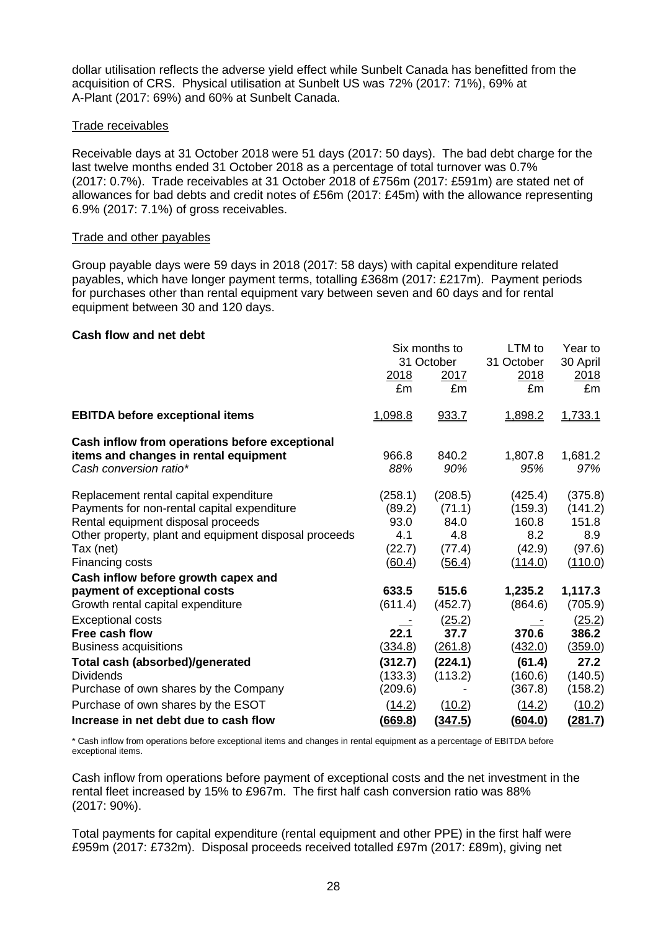dollar utilisation reflects the adverse yield effect while Sunbelt Canada has benefitted from the acquisition of CRS. Physical utilisation at Sunbelt US was 72% (2017: 71%), 69% at A-Plant (2017: 69%) and 60% at Sunbelt Canada.

#### Trade receivables

Receivable days at 31 October 2018 were 51 days (2017: 50 days). The bad debt charge for the last twelve months ended 31 October 2018 as a percentage of total turnover was 0.7% (2017: 0.7%). Trade receivables at 31 October 2018 of £756m (2017: £591m) are stated net of allowances for bad debts and credit notes of £56m (2017: £45m) with the allowance representing 6.9% (2017: 7.1%) of gross receivables.

#### Trade and other payables

Group payable days were 59 days in 2018 (2017: 58 days) with capital expenditure related payables, which have longer payment terms, totalling £368m (2017: £217m). Payment periods for purchases other than rental equipment vary between seven and 60 days and for rental equipment between 30 and 120 days.

#### **Cash flow and net debt**

|                                                                                                                                                                                                                      | 2018<br>£m                                           | Six months to<br>31 October<br>2017<br>£m            | LTM to<br>31 October<br>2018<br>£m                      | Year to<br>30 April<br>2018<br>£m                              |
|----------------------------------------------------------------------------------------------------------------------------------------------------------------------------------------------------------------------|------------------------------------------------------|------------------------------------------------------|---------------------------------------------------------|----------------------------------------------------------------|
| <b>EBITDA before exceptional items</b>                                                                                                                                                                               | 1,098.8                                              | 933.7                                                | 1,898.2                                                 | 1,733.1                                                        |
| Cash inflow from operations before exceptional<br>items and changes in rental equipment<br>Cash conversion ratio*                                                                                                    | 966.8<br>88%                                         | 840.2<br>90%                                         | 1,807.8<br>95%                                          | 1,681.2<br>97%                                                 |
| Replacement rental capital expenditure<br>Payments for non-rental capital expenditure<br>Rental equipment disposal proceeds<br>Other property, plant and equipment disposal proceeds<br>Tax (net)<br>Financing costs | (258.1)<br>(89.2)<br>93.0<br>4.1<br>(22.7)<br>(60.4) | (208.5)<br>(71.1)<br>84.0<br>4.8<br>(77.4)<br>(56.4) | (425.4)<br>(159.3)<br>160.8<br>8.2<br>(42.9)<br>(114.0) | (375.8)<br>(141.2)<br>151.8<br>8.9<br>(97.6)<br><u>(110.0)</u> |
| Cash inflow before growth capex and<br>payment of exceptional costs<br>Growth rental capital expenditure                                                                                                             | 633.5<br>(611.4)                                     | 515.6<br>(452.7)                                     | 1,235.2<br>(864.6)                                      | 1,117.3<br>(705.9)                                             |
| <b>Exceptional costs</b><br>Free cash flow<br><b>Business acquisitions</b>                                                                                                                                           | 22.1<br>(334.8)                                      | (25.2)<br>37.7<br>(261.8)                            | 370.6<br>(432.0)                                        | (25.2)<br>386.2<br>(359.0)                                     |
| Total cash (absorbed)/generated<br><b>Dividends</b><br>Purchase of own shares by the Company                                                                                                                         | (312.7)<br>(133.3)<br>(209.6)                        | (224.1)<br>(113.2)                                   | (61.4)<br>(160.6)<br>(367.8)                            | 27.2<br>(140.5)<br>(158.2)                                     |
| Purchase of own shares by the ESOT<br>Increase in net debt due to cash flow                                                                                                                                          | (14.2)<br>(669.8)                                    | (10.2)<br>(347.5)                                    | (14.2)<br>(604.0)                                       | (10.2)<br><u>(281.7)</u>                                       |

\* Cash inflow from operations before exceptional items and changes in rental equipment as a percentage of EBITDA before exceptional items.

Cash inflow from operations before payment of exceptional costs and the net investment in the rental fleet increased by 15% to £967m. The first half cash conversion ratio was 88% (2017: 90%).

Total payments for capital expenditure (rental equipment and other PPE) in the first half were £959m (2017: £732m). Disposal proceeds received totalled £97m (2017: £89m), giving net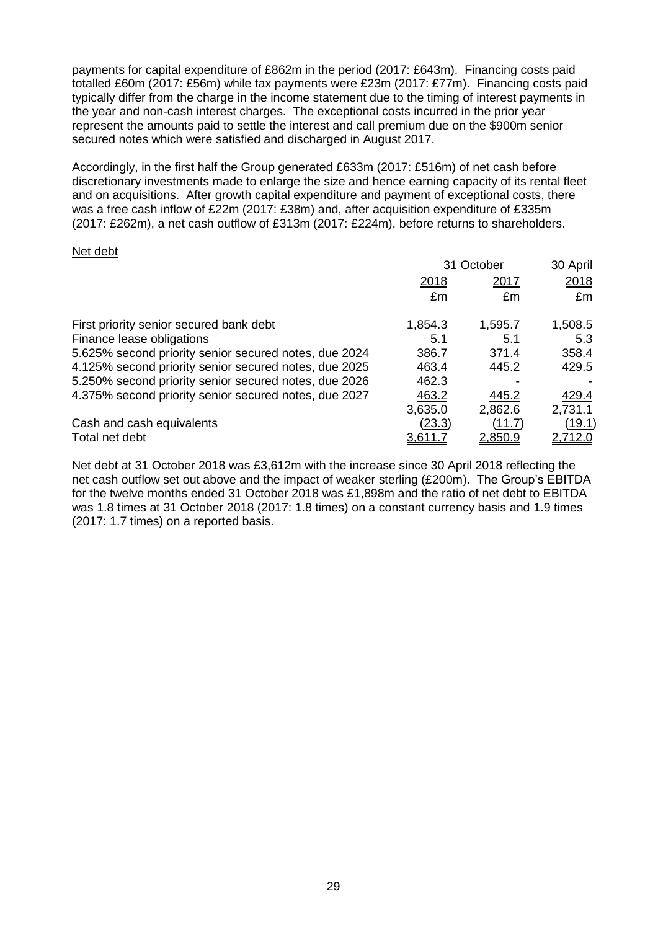payments for capital expenditure of £862m in the period (2017: £643m). Financing costs paid totalled £60m (2017: £56m) while tax payments were £23m (2017: £77m). Financing costs paid typically differ from the charge in the income statement due to the timing of interest payments in the year and non-cash interest charges. The exceptional costs incurred in the prior year represent the amounts paid to settle the interest and call premium due on the \$900m senior secured notes which were satisfied and discharged in August 2017.

Accordingly, in the first half the Group generated £633m (2017: £516m) of net cash before discretionary investments made to enlarge the size and hence earning capacity of its rental fleet and on acquisitions. After growth capital expenditure and payment of exceptional costs, there was a free cash inflow of £22m (2017: £38m) and, after acquisition expenditure of £335m (2017: £262m), a net cash outflow of £313m (2017: £224m), before returns to shareholders.

#### Net debt

|                                                       |         | 31 October     | 30 April       |
|-------------------------------------------------------|---------|----------------|----------------|
|                                                       | 2018    | 2017           | 2018           |
|                                                       | £m      | £m             | £m             |
| First priority senior secured bank debt               | 1,854.3 | 1,595.7        | 1,508.5        |
| Finance lease obligations                             | 5.1     | 5.1            | 5.3            |
| 5.625% second priority senior secured notes, due 2024 | 386.7   | 371.4          | 358.4          |
| 4.125% second priority senior secured notes, due 2025 | 463.4   | 445.2          | 429.5          |
| 5.250% second priority senior secured notes, due 2026 | 462.3   |                |                |
| 4.375% second priority senior secured notes, due 2027 | 463.2   | 445.2          | 429.4          |
|                                                       | 3,635.0 | 2,862.6        | 2,731.1        |
| Cash and cash equivalents                             | (23.3)  | (11.7)         | (19.1)         |
| Total net debt                                        | 3,611.  | <u>2.850.9</u> | <u>2,712.0</u> |

Net debt at 31 October 2018 was £3,612m with the increase since 30 April 2018 reflecting the net cash outflow set out above and the impact of weaker sterling (£200m). The Group's EBITDA for the twelve months ended 31 October 2018 was £1,898m and the ratio of net debt to EBITDA was 1.8 times at 31 October 2018 (2017: 1.8 times) on a constant currency basis and 1.9 times (2017: 1.7 times) on a reported basis.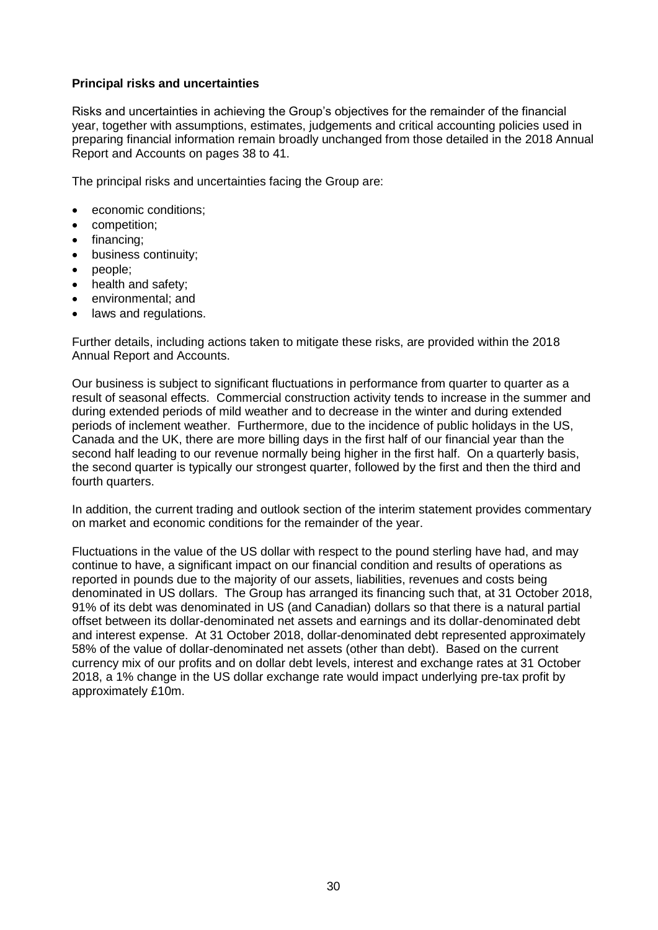### **Principal risks and uncertainties**

Risks and uncertainties in achieving the Group's objectives for the remainder of the financial year, together with assumptions, estimates, judgements and critical accounting policies used in preparing financial information remain broadly unchanged from those detailed in the 2018 Annual Report and Accounts on pages 38 to 41.

The principal risks and uncertainties facing the Group are:

- economic conditions;
- competition;
- financing;
- **•** business continuity;
- people;
- health and safety;
- environmental; and
- laws and regulations.

Further details, including actions taken to mitigate these risks, are provided within the 2018 Annual Report and Accounts.

Our business is subject to significant fluctuations in performance from quarter to quarter as a result of seasonal effects. Commercial construction activity tends to increase in the summer and during extended periods of mild weather and to decrease in the winter and during extended periods of inclement weather. Furthermore, due to the incidence of public holidays in the US, Canada and the UK, there are more billing days in the first half of our financial year than the second half leading to our revenue normally being higher in the first half. On a quarterly basis, the second quarter is typically our strongest quarter, followed by the first and then the third and fourth quarters.

In addition, the current trading and outlook section of the interim statement provides commentary on market and economic conditions for the remainder of the year.

Fluctuations in the value of the US dollar with respect to the pound sterling have had, and may continue to have, a significant impact on our financial condition and results of operations as reported in pounds due to the majority of our assets, liabilities, revenues and costs being denominated in US dollars. The Group has arranged its financing such that, at 31 October 2018, 91% of its debt was denominated in US (and Canadian) dollars so that there is a natural partial offset between its dollar-denominated net assets and earnings and its dollar-denominated debt and interest expense. At 31 October 2018, dollar-denominated debt represented approximately 58% of the value of dollar-denominated net assets (other than debt). Based on the current currency mix of our profits and on dollar debt levels, interest and exchange rates at 31 October 2018, a 1% change in the US dollar exchange rate would impact underlying pre-tax profit by approximately £10m.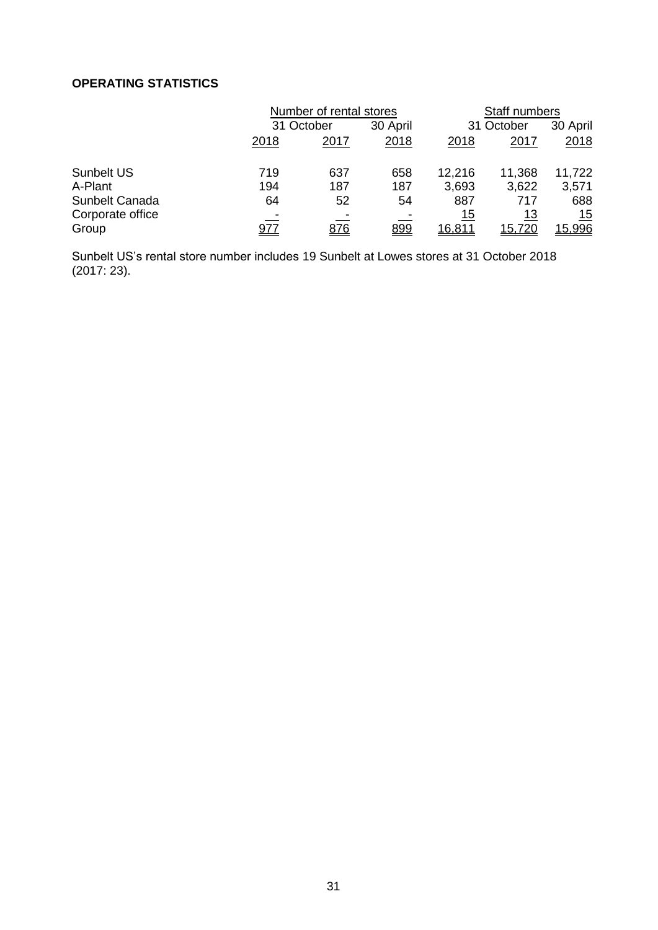# **OPERATING STATISTICS**

| Number of rental stores |      |            | Staff numbers       |                      |                      |
|-------------------------|------|------------|---------------------|----------------------|----------------------|
| 31 October              |      | 30 April   | 31 October          |                      | 30 April             |
| 2018                    | 2017 | 2018       | 2018                | 2017                 | 2018                 |
| 719                     | 637  | 658        | 12,216              | 11,368               | 11,722               |
| 194                     | 187  | 187        | 3,693               | 3,622                | 3,571                |
| 64                      | 52   | 54         | 887                 | 717                  | 688                  |
| 977                     | 876  | <u>899</u> | 15<br><u>16,811</u> | <u> 13</u><br>15,720 | <u> 15</u><br>15,996 |
|                         |      |            |                     |                      |                      |

Sunbelt US's rental store number includes 19 Sunbelt at Lowes stores at 31 October 2018 (2017: 23).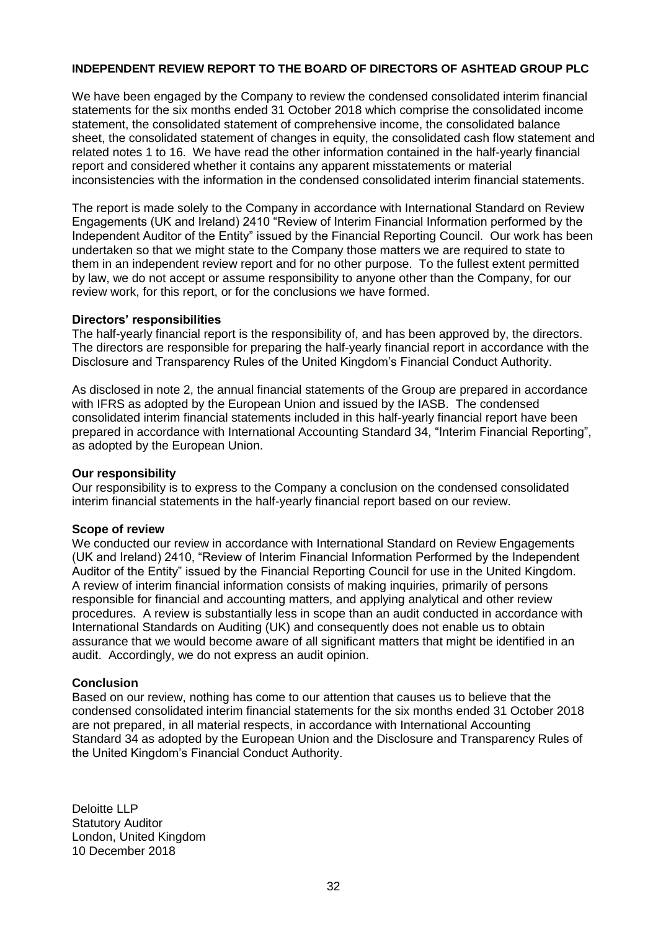## **INDEPENDENT REVIEW REPORT TO THE BOARD OF DIRECTORS OF ASHTEAD GROUP PLC**

We have been engaged by the Company to review the condensed consolidated interim financial statements for the six months ended 31 October 2018 which comprise the consolidated income statement, the consolidated statement of comprehensive income, the consolidated balance sheet, the consolidated statement of changes in equity, the consolidated cash flow statement and related notes 1 to 16. We have read the other information contained in the half-yearly financial report and considered whether it contains any apparent misstatements or material inconsistencies with the information in the condensed consolidated interim financial statements.

The report is made solely to the Company in accordance with International Standard on Review Engagements (UK and Ireland) 2410 "Review of Interim Financial Information performed by the Independent Auditor of the Entity" issued by the Financial Reporting Council. Our work has been undertaken so that we might state to the Company those matters we are required to state to them in an independent review report and for no other purpose. To the fullest extent permitted by law, we do not accept or assume responsibility to anyone other than the Company, for our review work, for this report, or for the conclusions we have formed.

#### **Directors' responsibilities**

The half-yearly financial report is the responsibility of, and has been approved by, the directors. The directors are responsible for preparing the half-yearly financial report in accordance with the Disclosure and Transparency Rules of the United Kingdom's Financial Conduct Authority.

As disclosed in note 2, the annual financial statements of the Group are prepared in accordance with IFRS as adopted by the European Union and issued by the IASB. The condensed consolidated interim financial statements included in this half-yearly financial report have been prepared in accordance with International Accounting Standard 34, "Interim Financial Reporting", as adopted by the European Union.

#### **Our responsibility**

Our responsibility is to express to the Company a conclusion on the condensed consolidated interim financial statements in the half-yearly financial report based on our review.

### **Scope of review**

We conducted our review in accordance with International Standard on Review Engagements (UK and Ireland) 2410, "Review of Interim Financial Information Performed by the Independent Auditor of the Entity" issued by the Financial Reporting Council for use in the United Kingdom. A review of interim financial information consists of making inquiries, primarily of persons responsible for financial and accounting matters, and applying analytical and other review procedures. A review is substantially less in scope than an audit conducted in accordance with International Standards on Auditing (UK) and consequently does not enable us to obtain assurance that we would become aware of all significant matters that might be identified in an audit. Accordingly, we do not express an audit opinion.

### **Conclusion**

Based on our review, nothing has come to our attention that causes us to believe that the condensed consolidated interim financial statements for the six months ended 31 October 2018 are not prepared, in all material respects, in accordance with International Accounting Standard 34 as adopted by the European Union and the Disclosure and Transparency Rules of the United Kingdom's Financial Conduct Authority.

Deloitte LLP Statutory Auditor London, United Kingdom 10 December 2018